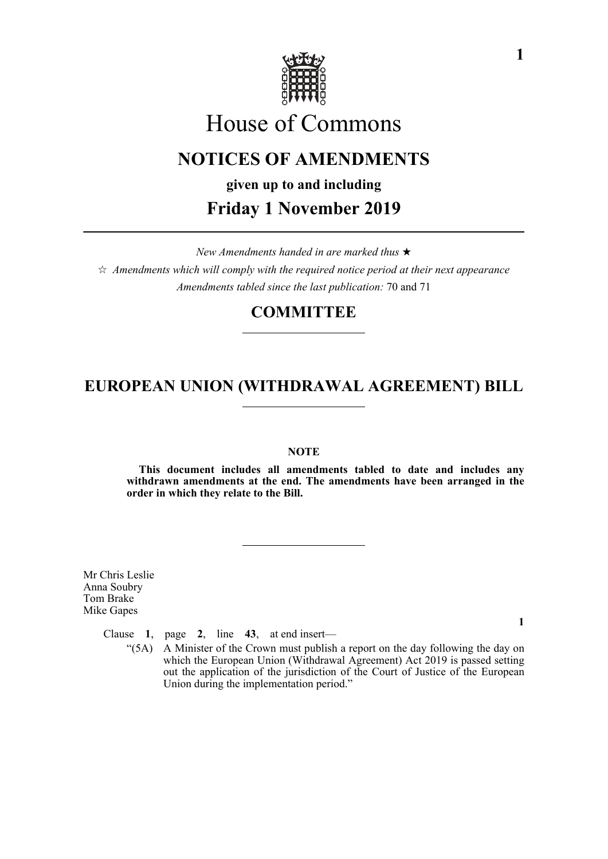

# House of Commons

# **NOTICES OF AMENDMENTS**

**given up to and including**

**Friday 1 November 2019**

*New Amendments handed in are marked thus*   $\hat{\varphi}$  Amendments which will comply with the required notice period at their next appearance *Amendments tabled since the last publication:* 70 and 71

# **COMMITTEE**

# **EUROPEAN UNION (WITHDRAWAL AGREEMENT) BILL**

### **NOTE**

**This document includes all amendments tabled to date and includes any withdrawn amendments at the end. The amendments have been arranged in the order in which they relate to the Bill.**

Mr Chris Leslie Anna Soubry Tom Brake Mike Gapes

Clause **1**, page **2**, line **43**, at end insert—

"(5A) A Minister of the Crown must publish a report on the day following the day on which the European Union (Withdrawal Agreement) Act 2019 is passed setting out the application of the jurisdiction of the Court of Justice of the European Union during the implementation period."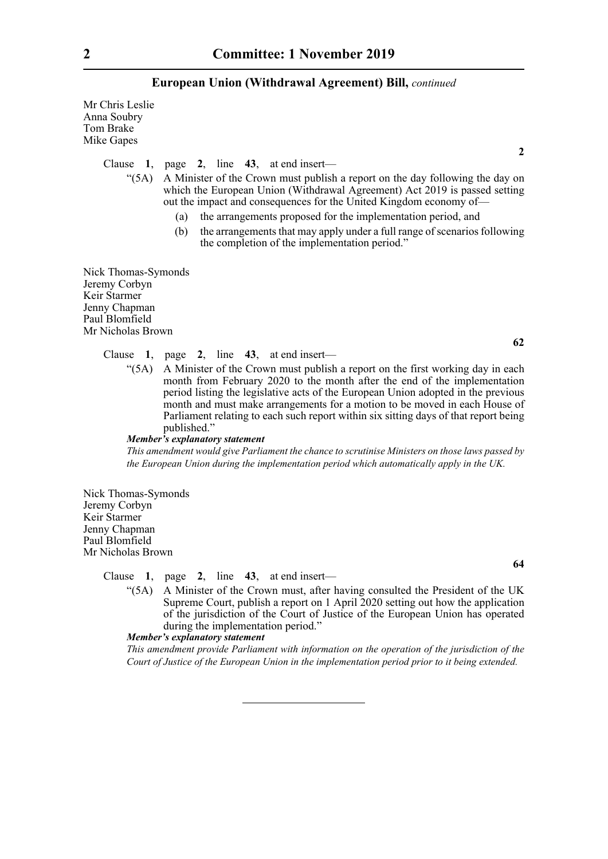Mr Chris Leslie Anna Soubry Tom Brake Mike Gapes

Clause **1**, page **2**, line **43**, at end insert—

"(5A) A Minister of the Crown must publish a report on the day following the day on which the European Union (Withdrawal Agreement) Act 2019 is passed setting out the impact and consequences for the United Kingdom economy of—

- (a) the arrangements proposed for the implementation period, and
- (b) the arrangements that may apply under a full range of scenarios following the completion of the implementation period."

Nick Thomas-Symonds Jeremy Corbyn Keir Starmer Jenny Chapman Paul Blomfield Mr Nicholas Brown

- Clause **1**, page **2**, line **43**, at end insert—
	- "(5A) A Minister of the Crown must publish a report on the first working day in each month from February 2020 to the month after the end of the implementation period listing the legislative acts of the European Union adopted in the previous month and must make arrangements for a motion to be moved in each House of Parliament relating to each such report within six sitting days of that report being published."

#### *Member's explanatory statement*

*This amendment would give Parliament the chance to scrutinise Ministers on those laws passed by the European Union during the implementation period which automatically apply in the UK.*

Nick Thomas-Symonds Jeremy Corbyn Keir Starmer Jenny Chapman Paul Blomfield Mr Nicholas Brown

Clause **1**, page **2**, line **43**, at end insert—

"(5A) A Minister of the Crown must, after having consulted the President of the UK Supreme Court, publish a report on 1 April 2020 setting out how the application of the jurisdiction of the Court of Justice of the European Union has operated during the implementation period."

#### *Member's explanatory statement*

*This amendment provide Parliament with information on the operation of the jurisdiction of the Court of Justice of the European Union in the implementation period prior to it being extended.*

**2**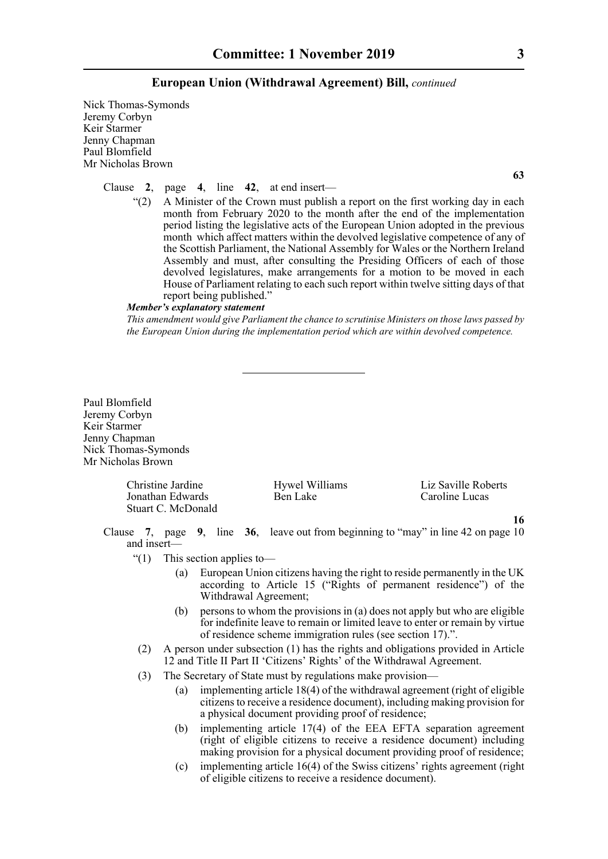Nick Thomas-Symonds Jeremy Corbyn Keir Starmer Jenny Chapman Paul Blomfield Mr Nicholas Brown

Clause **2**, page **4**, line **42**, at end insert—

 $"(2)$  A Minister of the Crown must publish a report on the first working day in each month from February 2020 to the month after the end of the implementation period listing the legislative acts of the European Union adopted in the previous month which affect matters within the devolved legislative competence of any of the Scottish Parliament, the National Assembly for Wales or the Northern Ireland Assembly and must, after consulting the Presiding Officers of each of those devolved legislatures, make arrangements for a motion to be moved in each House of Parliament relating to each such report within twelve sitting days of that report being published."

#### *Member's explanatory statement*

*This amendment would give Parliament the chance to scrutinise Ministers on those laws passed by the European Union during the implementation period which are within devolved competence.*

Paul Blomfield Jeremy Corbyn Keir Starmer Jenny Chapman Nick Thomas-Symonds Mr Nicholas Brown

> Christine Jardine Hywel Williams Liz Saville Roberts Jonathan Edwards Stuart C. McDonald

> > **16**

Clause **7**, page **9**, line **36**, leave out from beginning to "may" in line 42 on page 10 and insert—

- "(1) This section applies to—
	- (a) European Union citizens having the right to reside permanently in the UK according to Article 15 ("Rights of permanent residence") of the Withdrawal Agreement;
	- (b) persons to whom the provisions in (a) does not apply but who are eligible for indefinite leave to remain or limited leave to enter or remain by virtue of residence scheme immigration rules (see section 17).".
- (2) A person under subsection (1) has the rights and obligations provided in Article 12 and Title II Part II 'Citizens' Rights' of the Withdrawal Agreement.
- (3) The Secretary of State must by regulations make provision—
	- (a) implementing article 18(4) of the withdrawal agreement (right of eligible citizens to receive a residence document), including making provision for a physical document providing proof of residence;
	- (b) implementing article 17(4) of the EEA EFTA separation agreement (right of eligible citizens to receive a residence document) including making provision for a physical document providing proof of residence;
	- (c) implementing article 16(4) of the Swiss citizens' rights agreement (right of eligible citizens to receive a residence document).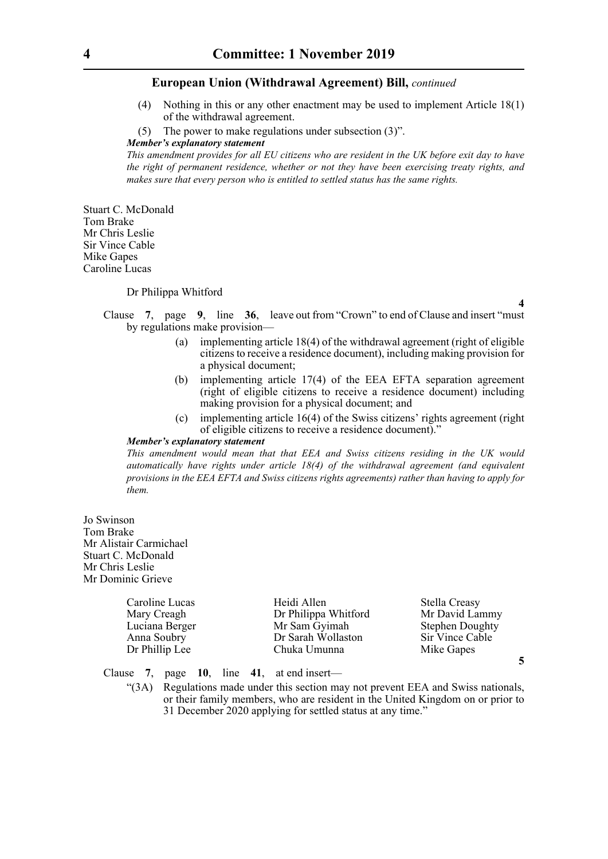- (4) Nothing in this or any other enactment may be used to implement Article 18(1) of the withdrawal agreement.
- (5) The power to make regulations under subsection (3)".

#### *Member's explanatory statement*

*This amendment provides for all EU citizens who are resident in the UK before exit day to have the right of permanent residence, whether or not they have been exercising treaty rights, and makes sure that every person who is entitled to settled status has the same rights.* 

Stuart C. McDonald Tom Brake Mr Chris Leslie Sir Vince Cable Mike Gapes Caroline Lucas

#### Dr Philippa Whitford

**4**

**5**

Clause **7**, page **9**, line **36**, leave out from "Crown" to end of Clause and insert "must by regulations make provision—

- (a) implementing article 18(4) of the withdrawal agreement (right of eligible citizens to receive a residence document), including making provision for a physical document;
- (b) implementing article 17(4) of the EEA EFTA separation agreement (right of eligible citizens to receive a residence document) including making provision for a physical document; and
- (c) implementing article 16(4) of the Swiss citizens' rights agreement (right of eligible citizens to receive a residence document)."

#### *Member's explanatory statement*

*This amendment would mean that that EEA and Swiss citizens residing in the UK would automatically have rights under article 18(4) of the withdrawal agreement (and equivalent provisions in the EEA EFTA and Swiss citizens rights agreements) rather than having to apply for them.*

Jo Swinson Tom Brake Mr Alistair Carmichael Stuart C. McDonald Mr Chris Leslie Mr Dominic Grieve

| Caroline Lucas | Heidi Allen          | Stella Creasy          |
|----------------|----------------------|------------------------|
| Mary Creagh    | Dr Philippa Whitford | Mr David Lammy         |
| Luciana Berger | Mr Sam Gyimah        | <b>Stephen Doughty</b> |
| Anna Soubry    | Dr Sarah Wollaston   | Sir Vince Cable        |
| Dr Phillip Lee | Chuka Umunna         | Mike Gapes             |

Clause **7**, page **10**, line **41**, at end insert—

"(3A) Regulations made under this section may not prevent EEA and Swiss nationals, or their family members, who are resident in the United Kingdom on or prior to 31 December 2020 applying for settled status at any time."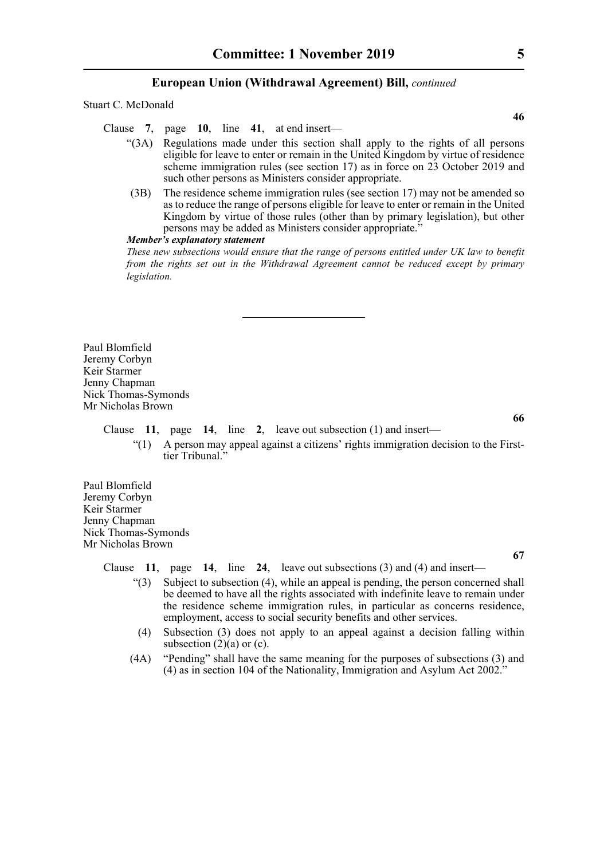Stuart C. McDonald

Clause **7**, page **10**, line **41**, at end insert—

- "(3A) Regulations made under this section shall apply to the rights of all persons eligible for leave to enter or remain in the United Kingdom by virtue of residence scheme immigration rules (see section 17) as in force on 23 October 2019 and such other persons as Ministers consider appropriate.
- (3B) The residence scheme immigration rules (see section 17) may not be amended so as to reduce the range of persons eligible for leave to enter or remain in the United Kingdom by virtue of those rules (other than by primary legislation), but other persons may be added as Ministers consider appropriate."

#### *Member's explanatory statement*

*These new subsections would ensure that the range of persons entitled under UK law to benefit from the rights set out in the Withdrawal Agreement cannot be reduced except by primary legislation.*

Paul Blomfield Jeremy Corbyn Keir Starmer Jenny Chapman Nick Thomas-Symonds Mr Nicholas Brown

Clause **11**, page **14**, line **2**, leave out subsection (1) and insert—

"(1) A person may appeal against a citizens' rights immigration decision to the Firsttier Tribunal."

Paul Blomfield Jeremy Corbyn Keir Starmer Jenny Chapman Nick Thomas-Symonds Mr Nicholas Brown

Clause **11**, page **14**, line **24**, leave out subsections (3) and (4) and insert—

- $\degree$ (3) Subject to subsection (4), while an appeal is pending, the person concerned shall be deemed to have all the rights associated with indefinite leave to remain under the residence scheme immigration rules, in particular as concerns residence, employment, access to social security benefits and other services.
- (4) Subsection (3) does not apply to an appeal against a decision falling within subsection  $(2)(a)$  or  $(c)$ .
- (4A) "Pending" shall have the same meaning for the purposes of subsections (3) and (4) as in section 104 of the Nationality, Immigration and Asylum Act 2002."

**46**

**66**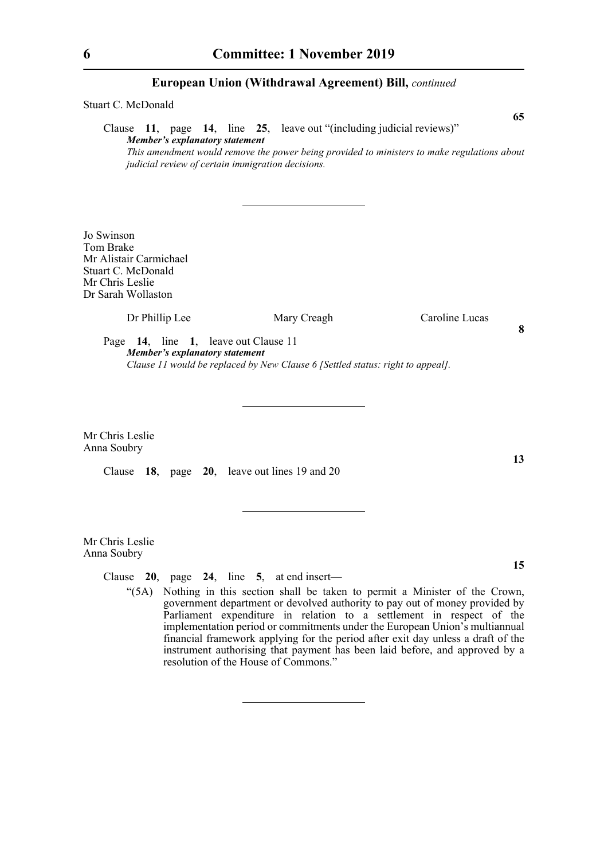Stuart C. McDonald **65** Clause **11**, page **14**, line **25**, leave out "(including judicial reviews)" *Member's explanatory statement This amendment would remove the power being provided to ministers to make regulations about judicial review of certain immigration decisions.*  Jo Swinson Tom Brake Mr Alistair Carmichael Stuart C. McDonald Mr Chris Leslie Dr Sarah Wollaston Dr Phillip Lee Mary Creagh Caroline Lucas Page **14**, line **1**, leave out Clause 11 *Member's explanatory statement Clause 11 would be replaced by New Clause 6 [Settled status: right to appeal].* Mr Chris Leslie Anna Soubry **13** Clause **18**, page **20**, leave out lines 19 and 20

Mr Chris Leslie Anna Soubry

Clause **20**, page **24**, line **5**, at end insert—

"(5A) Nothing in this section shall be taken to permit a Minister of the Crown, government department or devolved authority to pay out of money provided by Parliament expenditure in relation to a settlement in respect of the implementation period or commitments under the European Union's multiannual financial framework applying for the period after exit day unless a draft of the instrument authorising that payment has been laid before, and approved by a resolution of the House of Commons."

**15**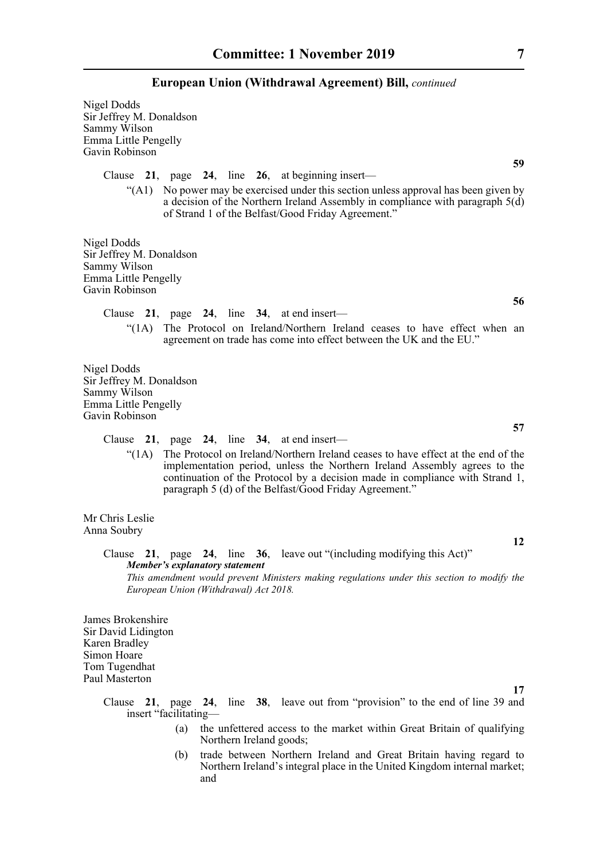Nigel Dodds Sir Jeffrey M. Donaldson Sammy Wilson Emma Little Pengelly Gavin Robinson

Clause **21**, page **24**, line **26**, at beginning insert—

"(A1) No power may be exercised under this section unless approval has been given by a decision of the Northern Ireland Assembly in compliance with paragraph 5(d) of Strand 1 of the Belfast/Good Friday Agreement."

Nigel Dodds Sir Jeffrey M. Donaldson Sammy Wilson Emma Little Pengelly Gavin Robinson

> Clause **21**, page **24**, line **34**, at end insert— "(1A) The Protocol on Ireland/Northern Ireland ceases to have effect when an agreement on trade has come into effect between the UK and the EU."

Nigel Dodds Sir Jeffrey M. Donaldson Sammy Wilson Emma Little Pengelly Gavin Robinson

Clause **21**, page **24**, line **34**, at end insert—

"(1A) The Protocol on Ireland/Northern Ireland ceases to have effect at the end of the implementation period, unless the Northern Ireland Assembly agrees to the continuation of the Protocol by a decision made in compliance with Strand 1, paragraph 5 (d) of the Belfast/Good Friday Agreement."

Mr Chris Leslie Anna Soubry

> Clause **21**, page **24**, line **36**, leave out "(including modifying this Act)" *Member's explanatory statement This amendment would prevent Ministers making regulations under this section to modify the European Union (Withdrawal) Act 2018.*

James Brokenshire Sir David Lidington Karen Bradley Simon Hoare Tom Tugendhat Paul Masterton

> Clause **21**, page **24**, line **38**, leave out from "provision" to the end of line 39 and insert "facilitating—

- (a) the unfettered access to the market within Great Britain of qualifying Northern Ireland goods;
- (b) trade between Northern Ireland and Great Britain having regard to Northern Ireland's integral place in the United Kingdom internal market; and

**59**

**56**

**57**

**12**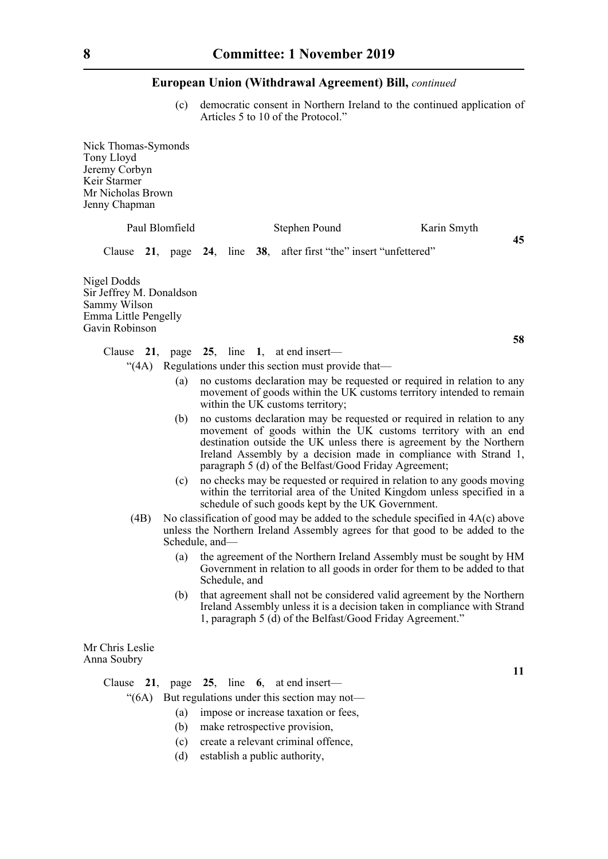(c) democratic consent in Northern Ireland to the continued application of Articles 5 to 10 of the Protocol."

Nick Thomas-Symonds Tony Lloyd Jeremy Corbyn Keir Starmer Mr Nicholas Brown Jenny Chapman

|                                                    | Paul Blomfield |  | Stephen Pound                                                      | Karin Smyth |    |
|----------------------------------------------------|----------------|--|--------------------------------------------------------------------|-------------|----|
|                                                    |                |  | Clause 21, page 24, line 38, after first "the" insert "unfettered" |             | 45 |
| Nigel Dodds<br>Sir Jeffrey M. Donaldson            |                |  |                                                                    |             |    |
| Sammy Wilson<br>$E_{\text{max}} = 1.44 \pm 0.0011$ |                |  |                                                                    |             |    |

Emma Little Pengelly Gavin Robinson

**58**

**11**

- Clause **21**, page **25**, line **1**, at end insert—
	- "(4A) Regulations under this section must provide that—
		- (a) no customs declaration may be requested or required in relation to any movement of goods within the UK customs territory intended to remain within the UK customs territory;
		- (b) no customs declaration may be requested or required in relation to any movement of goods within the UK customs territory with an end destination outside the UK unless there is agreement by the Northern Ireland Assembly by a decision made in compliance with Strand 1, paragraph 5 (d) of the Belfast/Good Friday Agreement;
		- (c) no checks may be requested or required in relation to any goods moving within the territorial area of the United Kingdom unless specified in a schedule of such goods kept by the UK Government.
		- (4B) No classification of good may be added to the schedule specified in  $4A(c)$  above unless the Northern Ireland Assembly agrees for that good to be added to the Schedule, and—
			- (a) the agreement of the Northern Ireland Assembly must be sought by HM Government in relation to all goods in order for them to be added to that Schedule, and
			- (b) that agreement shall not be considered valid agreement by the Northern Ireland Assembly unless it is a decision taken in compliance with Strand 1, paragraph 5 (d) of the Belfast/Good Friday Agreement."

Mr Chris Leslie Anna Soubry

Clause **21**, page **25**, line **6**, at end insert—

"(6A) But regulations under this section may not—

- (a) impose or increase taxation or fees,
- (b) make retrospective provision,
- (c) create a relevant criminal offence,
- (d) establish a public authority,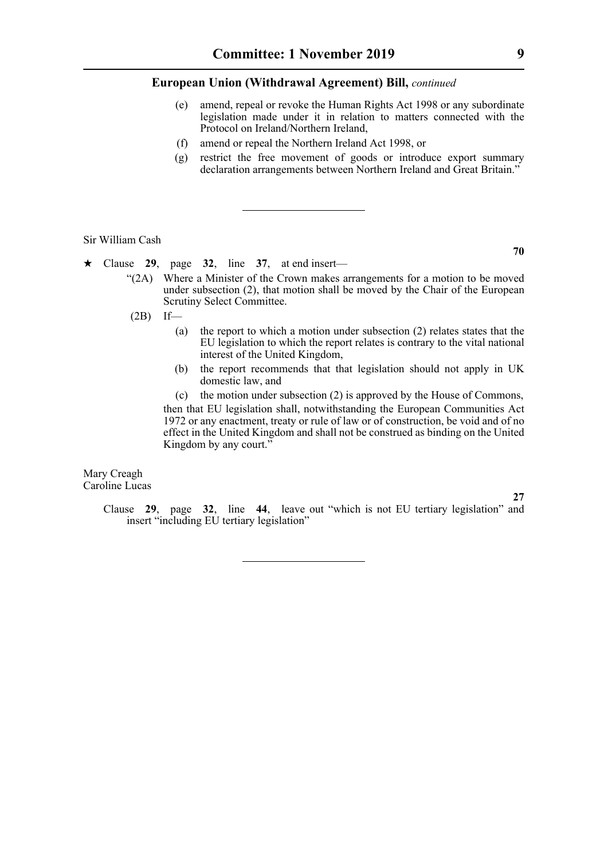- (e) amend, repeal or revoke the Human Rights Act 1998 or any subordinate legislation made under it in relation to matters connected with the Protocol on Ireland/Northern Ireland,
- (f) amend or repeal the Northern Ireland Act 1998, or
- (g) restrict the free movement of goods or introduce export summary declaration arrangements between Northern Ireland and Great Britain."

Sir William Cash

- $\star$  Clause 29, page 32, line 37, at end insert—
	- "(2A) Where a Minister of the Crown makes arrangements for a motion to be moved under subsection (2), that motion shall be moved by the Chair of the European Scrutiny Select Committee.
	- $(2B)$  If—
		- (a) the report to which a motion under subsection (2) relates states that the EU legislation to which the report relates is contrary to the vital national interest of the United Kingdom,
		- (b) the report recommends that that legislation should not apply in UK domestic law, and

(c) the motion under subsection (2) is approved by the House of Commons, then that EU legislation shall, notwithstanding the European Communities Act 1972 or any enactment, treaty or rule of law or of construction, be void and of no effect in the United Kingdom and shall not be construed as binding on the United Kingdom by any court."

Mary Creagh Caroline Lucas

**27**

Clause **29**, page **32**, line **44**, leave out "which is not EU tertiary legislation" and insert "including EU tertiary legislation"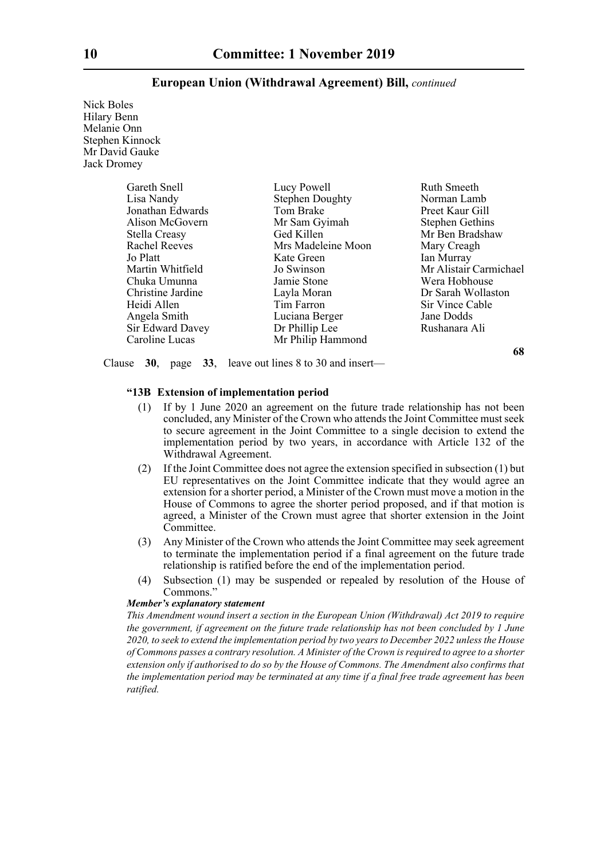Nick Boles Hilary Benn Melanie Onn Stephen Kinnock Mr David Gauke Jack Dromey

| Gareth Snell         | Lucy Powell            | Ruth Smeeth            |
|----------------------|------------------------|------------------------|
| Lisa Nandy           | <b>Stephen Doughty</b> | Norman Lamb            |
| Jonathan Edwards     | Tom Brake              | Preet Kaur Gill        |
| Alison McGovern      | Mr Sam Gyimah          | <b>Stephen Gethins</b> |
| Stella Creasy        | Ged Killen             | Mr Ben Bradshaw        |
| <b>Rachel Reeves</b> | Mrs Madeleine Moon     | Mary Creagh            |
| Jo Platt             | Kate Green             | Ian Murray             |
| Martin Whitfield     | Jo Swinson             | Mr Alistair Carmichael |
| Chuka Umunna         | Jamie Stone            | Wera Hobhouse          |
| Christine Jardine    | Layla Moran            | Dr Sarah Wollaston     |
| Heidi Allen          | Tim Farron             | Sir Vince Cable        |
| Angela Smith         | Luciana Berger         | Jane Dodds             |
| Sir Edward Davey     | Dr Phillip Lee         | Rushanara Ali          |
| Caroline Lucas       | Mr Philip Hammond      |                        |

**68**

Clause **30**, page **33**, leave out lines 8 to 30 and insert—

#### **"13B Extension of implementation period**

- (1) If by 1 June 2020 an agreement on the future trade relationship has not been concluded, any Minister of the Crown who attends the Joint Committee must seek to secure agreement in the Joint Committee to a single decision to extend the implementation period by two years, in accordance with Article 132 of the Withdrawal Agreement.
- (2) If the Joint Committee does not agree the extension specified in subsection (1) but EU representatives on the Joint Committee indicate that they would agree an extension for a shorter period, a Minister of the Crown must move a motion in the House of Commons to agree the shorter period proposed, and if that motion is agreed, a Minister of the Crown must agree that shorter extension in the Joint Committee.
- (3) Any Minister of the Crown who attends the Joint Committee may seek agreement to terminate the implementation period if a final agreement on the future trade relationship is ratified before the end of the implementation period.
- (4) Subsection (1) may be suspended or repealed by resolution of the House of Commons."

#### *Member's explanatory statement*

*This Amendment wound insert a section in the European Union (Withdrawal) Act 2019 to require the government, if agreement on the future trade relationship has not been concluded by 1 June 2020, to seek to extend the implementation period by two years to December 2022 unless the House of Commons passes a contrary resolution. A Minister of the Crown is required to agree to a shorter extension only if authorised to do so by the House of Commons. The Amendment also confirms that the implementation period may be terminated at any time if a final free trade agreement has been ratified.*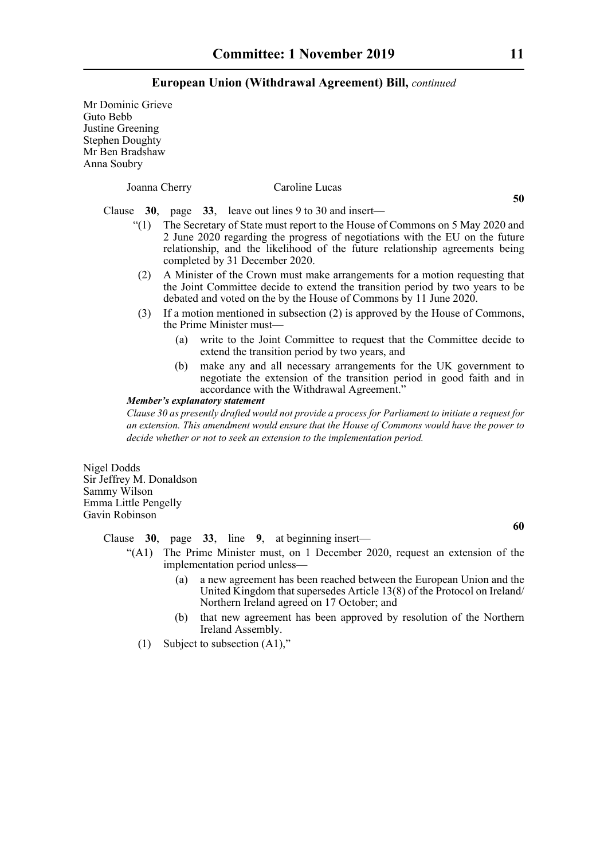Mr Dominic Grieve Guto Bebb Justine Greening Stephen Doughty Mr Ben Bradshaw Anna Soubry

Joanna Cherry Caroline Lucas

**50**

Clause **30**, page **33**, leave out lines 9 to 30 and insert—

- "(1) The Secretary of State must report to the House of Commons on 5 May 2020 and 2 June 2020 regarding the progress of negotiations with the EU on the future relationship, and the likelihood of the future relationship agreements being completed by 31 December 2020.
- (2) A Minister of the Crown must make arrangements for a motion requesting that the Joint Committee decide to extend the transition period by two years to be debated and voted on the by the House of Commons by 11 June 2020.
- (3) If a motion mentioned in subsection (2) is approved by the House of Commons, the Prime Minister must—
	- (a) write to the Joint Committee to request that the Committee decide to extend the transition period by two years, and
	- (b) make any and all necessary arrangements for the UK government to negotiate the extension of the transition period in good faith and in accordance with the Withdrawal Agreement."

#### *Member's explanatory statement*

*Clause 30 as presently drafted would not provide a process for Parliament to initiate a request for an extension. This amendment would ensure that the House of Commons would have the power to decide whether or not to seek an extension to the implementation period.*

Nigel Dodds Sir Jeffrey M. Donaldson Sammy Wilson Emma Little Pengelly Gavin Robinson

**60**

Clause **30**, page **33**, line **9**, at beginning insert—

- "(A1) The Prime Minister must, on 1 December 2020, request an extension of the implementation period unless—
	- (a) a new agreement has been reached between the European Union and the United Kingdom that supersedes Article 13(8) of the Protocol on Ireland/ Northern Ireland agreed on 17 October; and
	- (b) that new agreement has been approved by resolution of the Northern Ireland Assembly.
	- (1) Subject to subsection (A1),"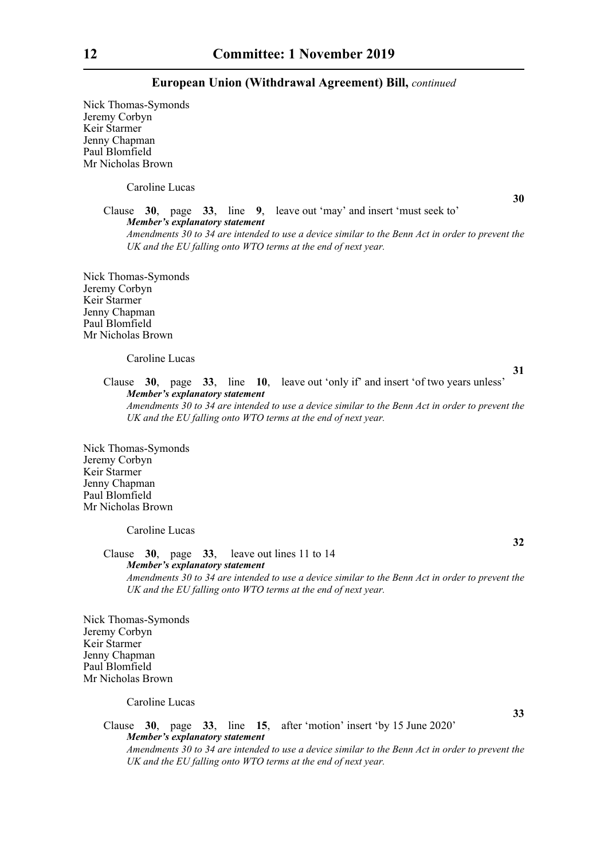Nick Thomas-Symonds Jeremy Corbyn Keir Starmer Jenny Chapman Paul Blomfield Mr Nicholas Brown

Caroline Lucas

**30**

Clause **30**, page **33**, line **9**, leave out 'may' and insert 'must seek to' *Member's explanatory statement Amendments 30 to 34 are intended to use a device similar to the Benn Act in order to prevent the*

*UK and the EU falling onto WTO terms at the end of next year.*

Nick Thomas-Symonds Jeremy Corbyn Keir Starmer Jenny Chapman Paul Blomfield Mr Nicholas Brown

#### Caroline Lucas

**31**

**32**

**33**

Clause **30**, page **33**, line **10**, leave out 'only if' and insert 'of two years unless' *Member's explanatory statement Amendments 30 to 34 are intended to use a device similar to the Benn Act in order to prevent the*

*UK and the EU falling onto WTO terms at the end of next year.*

Nick Thomas-Symonds Jeremy Corbyn Keir Starmer Jenny Chapman Paul Blomfield Mr Nicholas Brown

Caroline Lucas

Clause **30**, page **33**, leave out lines 11 to 14 *Member's explanatory statement Amendments 30 to 34 are intended to use a device similar to the Benn Act in order to prevent the UK and the EU falling onto WTO terms at the end of next year.*

Nick Thomas-Symonds Jeremy Corbyn Keir Starmer Jenny Chapman Paul Blomfield Mr Nicholas Brown

Caroline Lucas

Clause **30**, page **33**, line **15**, after 'motion' insert 'by 15 June 2020' *Member's explanatory statement Amendments 30 to 34 are intended to use a device similar to the Benn Act in order to prevent the UK and the EU falling onto WTO terms at the end of next year.*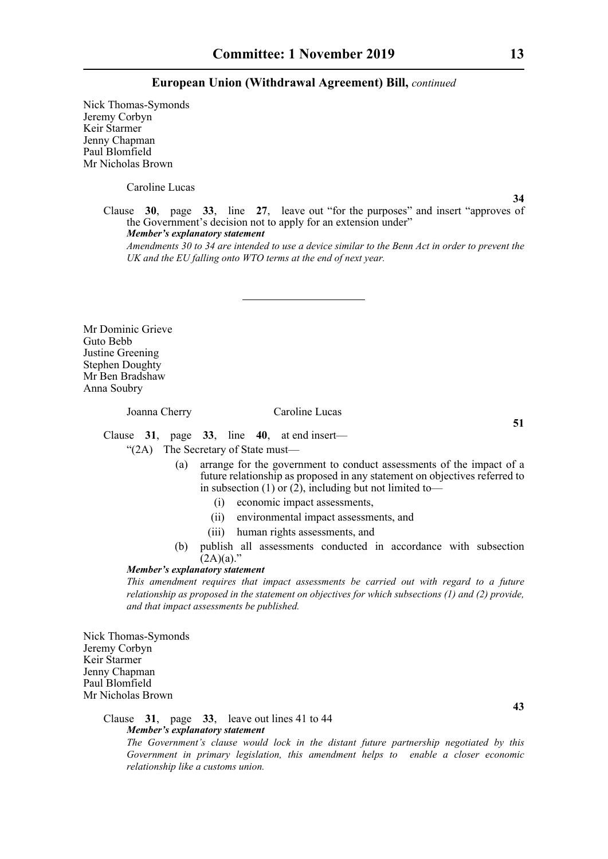Nick Thomas-Symonds Jeremy Corbyn Keir Starmer Jenny Chapman Paul Blomfield Mr Nicholas Brown

Caroline Lucas

**34**

Clause **30**, page **33**, line **27**, leave out "for the purposes" and insert "approves of the Government's decision not to apply for an extension under" *Member's explanatory statement* 

*Amendments 30 to 34 are intended to use a device similar to the Benn Act in order to prevent the UK and the EU falling onto WTO terms at the end of next year.*

Mr Dominic Grieve Guto Bebb Justine Greening Stephen Doughty Mr Ben Bradshaw Anna Soubry

Joanna Cherry Caroline Lucas

Clause **31**, page **33**, line **40**, at end insert—

"(2A) The Secretary of State must—

- (a) arrange for the government to conduct assessments of the impact of a future relationship as proposed in any statement on objectives referred to in subsection  $(1)$  or  $(2)$ , including but not limited to-
	- (i) economic impact assessments,
	- (ii) environmental impact assessments, and
	- (iii) human rights assessments, and
- (b) publish all assessments conducted in accordance with subsection  $(2A)(a)$ ."

#### *Member's explanatory statement*

*This amendment requires that impact assessments be carried out with regard to a future relationship as proposed in the statement on objectives for which subsections (1) and (2) provide, and that impact assessments be published.*

Nick Thomas-Symonds Jeremy Corbyn Keir Starmer Jenny Chapman Paul Blomfield Mr Nicholas Brown

#### Clause **31**, page **33**, leave out lines 41 to 44 *Member's explanatory statement*

*The Government's clause would lock in the distant future partnership negotiated by this Government in primary legislation, this amendment helps to enable a closer economic relationship like a customs union.*

**51**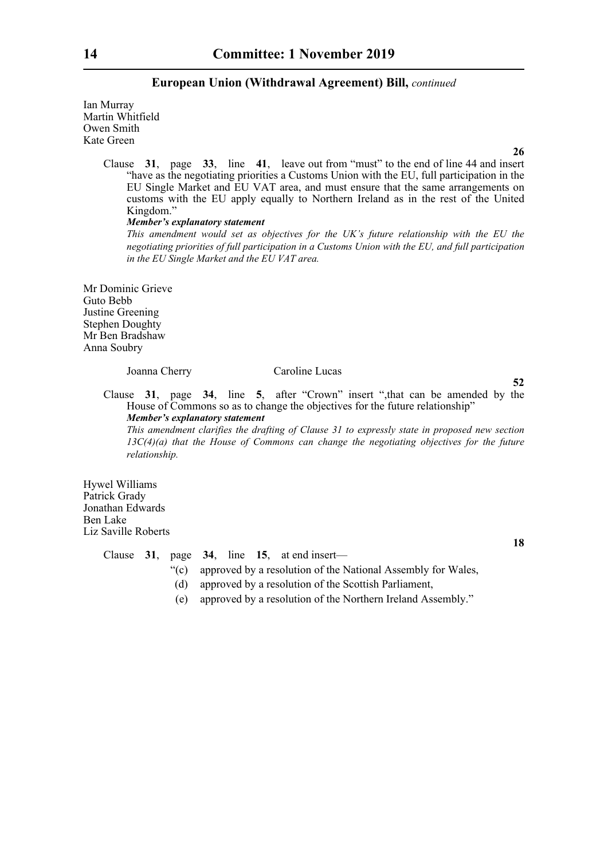Ian Murray Martin Whitfield Owen Smith Kate Green

**26**

Clause **31**, page **33**, line **41**, leave out from "must" to the end of line 44 and insert "have as the negotiating priorities a Customs Union with the EU, full participation in the EU Single Market and EU VAT area, and must ensure that the same arrangements on customs with the EU apply equally to Northern Ireland as in the rest of the United Kingdom."

#### *Member's explanatory statement*

*This amendment would set as objectives for the UK's future relationship with the EU the negotiating priorities of full participation in a Customs Union with the EU, and full participation in the EU Single Market and the EU VAT area.*

Mr Dominic Grieve Guto Bebb Justine Greening Stephen Doughty Mr Ben Bradshaw Anna Soubry

#### Joanna Cherry Caroline Lucas

**52**

Clause **31**, page **34**, line **5**, after "Crown" insert ",that can be amended by the House of Commons so as to change the objectives for the future relationship" *Member's explanatory statement* 

*This amendment clarifies the drafting of Clause 31 to expressly state in proposed new section 13C(4)(a) that the House of Commons can change the negotiating objectives for the future relationship.*

Hywel Williams Patrick Grady Jonathan Edwards Ben Lake Liz Saville Roberts

Clause **31**, page **34**, line **15**, at end insert—

- "(c) approved by a resolution of the National Assembly for Wales,
- (d) approved by a resolution of the Scottish Parliament,
- (e) approved by a resolution of the Northern Ireland Assembly."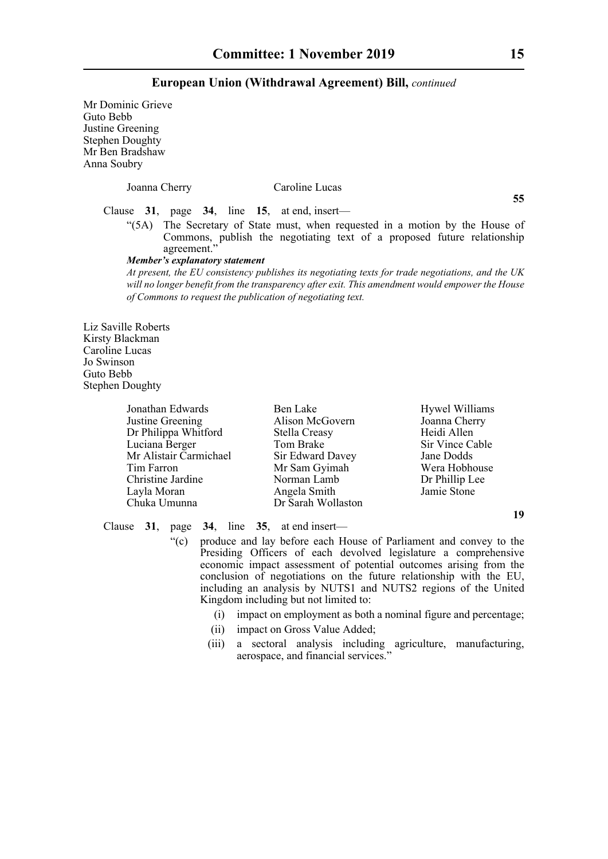Mr Dominic Grieve Guto Bebb Justine Greening Stephen Doughty Mr Ben Bradshaw Anna Soubry

Joanna Cherry Caroline Lucas Clause **31**, page **34**, line **15**, at end, insert— "(5A) The Secretary of State must, when requested in a motion by the House of Commons, publish the negotiating text of a proposed future relationship agreement.' *Member's explanatory statement At present, the EU consistency publishes its negotiating texts for trade negotiations, and the UK will no longer benefit from the transparency after exit. This amendment would empower the House of Commons to request the publication of negotiating text.* Jonathan Edwards **Ben Lake** Hywel Williams Justine Greening Alison McGovern Joanna Cherry Dr Philippa Whitford Stella Creasy Feidi Allen

Liz Saville Roberts Kirsty Blackman Caroline Lucas Jo Swinson Guto Bebb Stephen Doughty

| Jonathan Edwards       | Ben Lake           | Hywel Williams  |
|------------------------|--------------------|-----------------|
| Justine Greening       | Alison McGovern    | Joanna Cherry   |
| Dr Philippa Whitford   | Stella Creasy      | Heidi Allen     |
| Luciana Berger         | Tom Brake          | Sir Vince Cable |
| Mr Alistair Carmichael | Sir Edward Davey   | Jane Dodds      |
| Tim Farron             | Mr Sam Gyimah      | Wera Hobhouse   |
| Christine Jardine      | Norman Lamb        | Dr Phillip Lee  |
| Layla Moran            | Angela Smith       | Jamie Stone     |
| Chuka Umunna           | Dr Sarah Wollaston |                 |

Clause **31**, page **34**, line **35**, at end insert—

- "(c) produce and lay before each House of Parliament and convey to the Presiding Officers of each devolved legislature a comprehensive economic impact assessment of potential outcomes arising from the conclusion of negotiations on the future relationship with the EU, including an analysis by NUTS1 and NUTS2 regions of the United Kingdom including but not limited to:
	- (i) impact on employment as both a nominal figure and percentage;
	- (ii) impact on Gross Value Added;
	- (iii) a sectoral analysis including agriculture, manufacturing, aerospace, and financial services."

**55**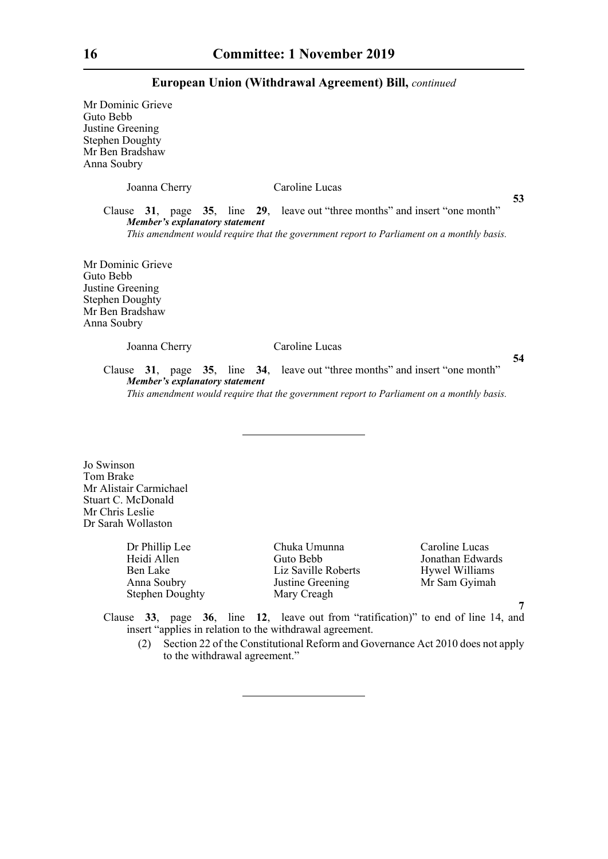Mr Dominic Grieve Guto  $B_6$ Justine Stephen  $Mr$  Ben Anna S

| ebb<br>Greening<br>n Doughty<br>a Bradshaw<br>oubry |                |  |
|-----------------------------------------------------|----------------|--|
| Joanna Cherry                                       | Caroline Lucas |  |

Clause **31**, page **35**, line **29**, leave out "three months" and insert "one month" *Member's explanatory statement* 

*This amendment would require that the government report to Parliament on a monthly basis.*

Mr Dominic Grieve Guto Bebb Justine Greening Stephen Doughty Mr Ben Bradshaw Anna Soubry

Joanna Cherry Caroline Lucas

**54**

**53**

Clause **31**, page **35**, line **34**, leave out "three months" and insert "one month" *Member's explanatory statement This amendment would require that the government report to Parliament on a monthly basis.*

Jo Swinson Tom Brake Mr Alistair Carmichael Stuart C. McDonald Mr Chris Leslie Dr Sarah Wollaston

> Dr Phillip Lee Chuka Umunna Caroline Lucas Stephen Doughty Mary Creagh

Heidi Allen Guto Bebb Jonathan Edwards Ben Lake Liz Saville Roberts Hywel Williams<br>
Anna Soubry Justine Greening Mr Sam Gyimah Justine Greening Mr Sam Gyimah

**7**

Clause **33**, page **36**, line **12**, leave out from "ratification)" to end of line 14, and insert "applies in relation to the withdrawal agreement.

(2) Section 22 of the Constitutional Reform and Governance Act 2010 does not apply to the withdrawal agreement."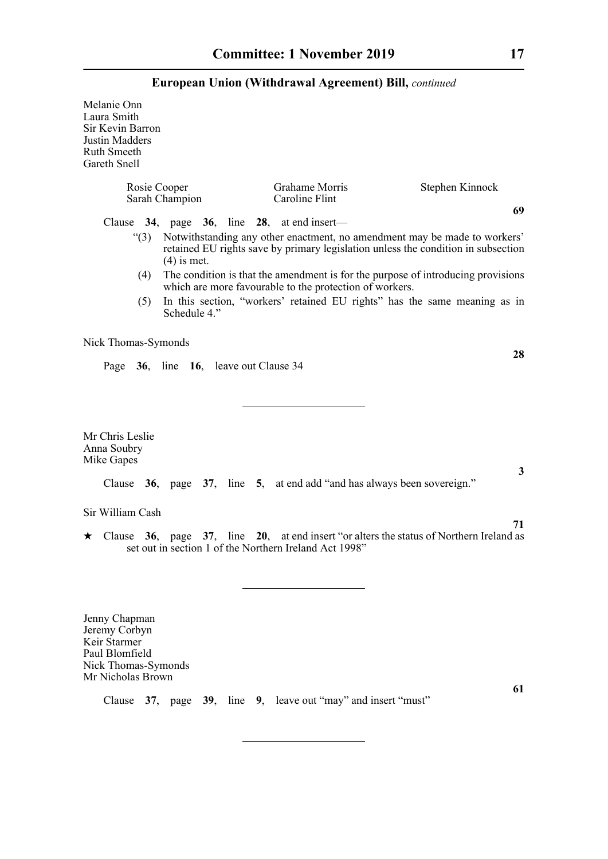Melanie Onn Laura Smith Sir Kevin Barron Justin Madders Ruth Smeeth Gareth Snell

| Rosie Cooper                                 |                                                      | Grahame Morris                                                                                                                                                 | Stephen Kinnock |
|----------------------------------------------|------------------------------------------------------|----------------------------------------------------------------------------------------------------------------------------------------------------------------|-----------------|
|                                              | Sarah Champion                                       | Caroline Flint                                                                                                                                                 |                 |
|                                              | Clause $34$ , page $36$ , line $28$ , at end insert— |                                                                                                                                                                | 69              |
| $\degree$ (3)                                | $(4)$ is met.                                        | Notwithstanding any other enactment, no amendment may be made to workers'<br>retained EU rights save by primary legislation unless the condition in subsection |                 |
| (4)                                          |                                                      | The condition is that the amendment is for the purpose of introducing provisions<br>which are more favourable to the protection of workers.                    |                 |
| (5)                                          | Schedule 4."                                         | In this section, "workers' retained EU rights" has the same meaning as in                                                                                      |                 |
| Nick Thomas-Symonds                          |                                                      |                                                                                                                                                                | 28              |
|                                              | Page 36, line 16, leave out Clause 34                |                                                                                                                                                                |                 |
|                                              |                                                      |                                                                                                                                                                |                 |
| Mr Chris Leslie<br>Anna Soubry<br>Mike Gapes |                                                      |                                                                                                                                                                |                 |
|                                              |                                                      | Clause $36$ , page $37$ , line $5$ , at end add "and has always been sovereign."                                                                               | 3               |

Sir William Cash

 Clause **36**, page **37**, line **20**, at end insert "or alters the status of Northern Ireland as set out in section 1 of the Northern Ireland Act 1998"

Jenny Chapman Jeremy Corbyn Keir Starmer Paul Blomfield Nick Thomas-Symonds Mr Nicholas Brown

Clause **37**, page **39**, line **9**, leave out "may" and insert "must"

**61**

**71**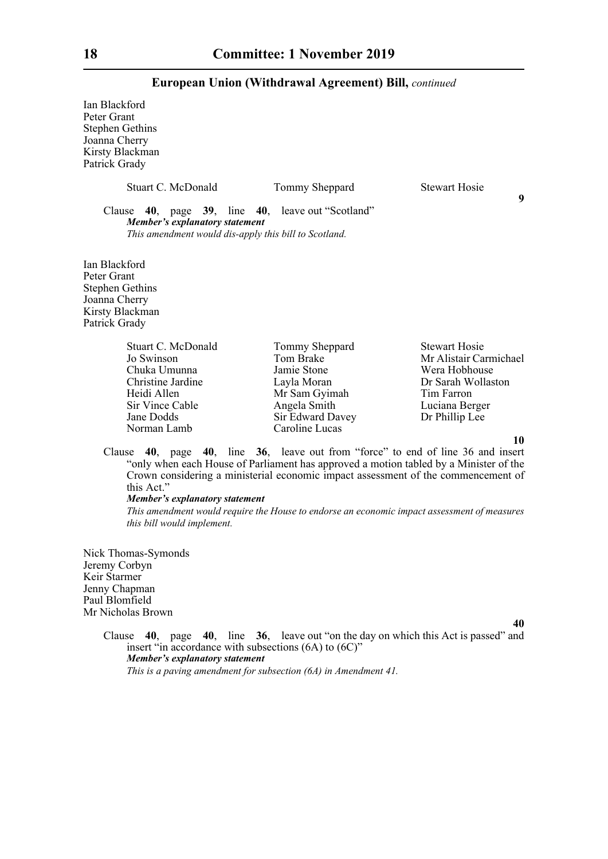Ian Blackford Peter Grant Stephen Gethins Joanna Cherry Kirsty Blackman Patrick Grady

| Stuart C. McDonald                                                                                                                           | Tommy Sheppard | <b>Stewart Hosie</b> |   |
|----------------------------------------------------------------------------------------------------------------------------------------------|----------------|----------------------|---|
| Clause 40, page 39, line 40, leave out "Scotland"<br>Member's explanatory statement<br>This amendment would dis-apply this bill to Scotland. |                |                      | 9 |
| Ian Blackford<br>Peter Grant<br><b>Stephen Gethins</b><br>Joanna Cherry<br>Kirsty Blackman<br>Patrick Grady                                  |                |                      |   |
| Stuart C. McDonald                                                                                                                           | Tommy Sheppard | <b>Stewart Hosie</b> |   |

| Stuart C. McDonald | Tommy Sheppard   | <b>Stewart Hosie</b>   |
|--------------------|------------------|------------------------|
| Jo Swinson         | Tom Brake        | Mr Alistair Carmichael |
| Chuka Umunna       | Jamie Stone      | Wera Hobhouse          |
| Christine Jardine  | Layla Moran      | Dr Sarah Wollaston     |
| Heidi Allen        | Mr Sam Gyimah    | Tim Farron             |
| Sir Vince Cable    | Angela Smith     | Luciana Berger         |
| Jane Dodds         | Sir Edward Davey | Dr Phillip Lee         |
| Norman Lamb        | Caroline Lucas   |                        |
|                    |                  | - 0                    |

**10**

Clause **40**, page **40**, line **36**, leave out from "force" to end of line 36 and insert "only when each House of Parliament has approved a motion tabled by a Minister of the Crown considering a ministerial economic impact assessment of the commencement of this Act."

#### *Member's explanatory statement*

*This amendment would require the House to endorse an economic impact assessment of measures this bill would implement.* 

Nick Thomas-Symonds Jeremy Corbyn Keir Starmer Jenny Chapman Paul Blomfield Mr Nicholas Brown

**40**

Clause **40**, page **40**, line **36**, leave out "on the day on which this Act is passed" and insert "in accordance with subsections (6A) to (6C)" *Member's explanatory statement This is a paving amendment for subsection (6A) in Amendment 41.*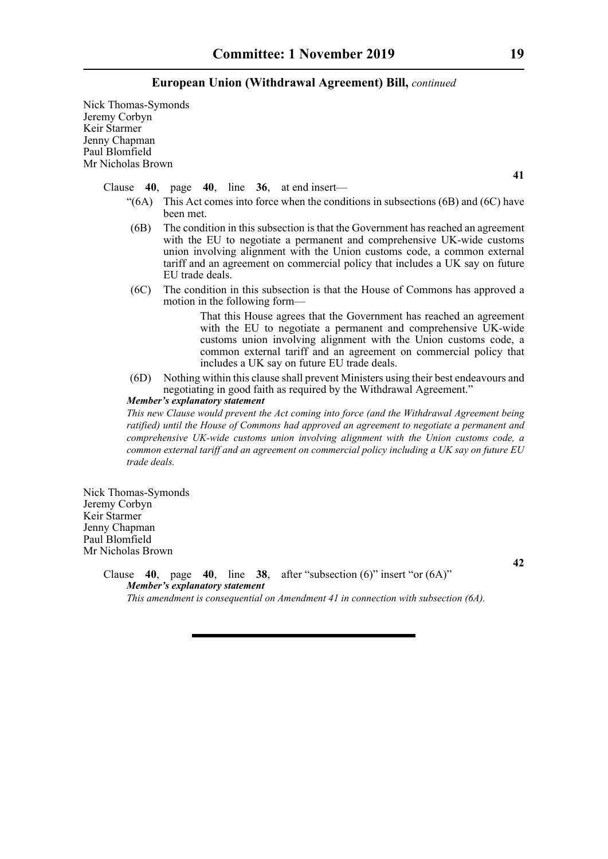Nick Thomas-Symonds Jeremy Corbyn Keir Starmer Jenny Chapman Paul Blomfield Mr Nicholas Brown

Clause **40**, page **40**, line **36**, at end insert—

- $\degree$ (6A) This Act comes into force when the conditions in subsections (6B) and (6C) have been met.
- (6B) The condition in this subsection is that the Government has reached an agreement with the EU to negotiate a permanent and comprehensive UK-wide customs union involving alignment with the Union customs code, a common external tariff and an agreement on commercial policy that includes a UK say on future EU trade deals.
- (6C) The condition in this subsection is that the House of Commons has approved a motion in the following form—

 That this House agrees that the Government has reached an agreement with the EU to negotiate a permanent and comprehensive UK-wide customs union involving alignment with the Union customs code, a common external tariff and an agreement on commercial policy that includes a UK say on future EU trade deals.

(6D) Nothing within this clause shall prevent Ministers using their best endeavours and negotiating in good faith as required by the Withdrawal Agreement."

*Member's explanatory statement* 

*This new Clause would prevent the Act coming into force (and the Withdrawal Agreement being ratified) until the House of Commons had approved an agreement to negotiate a permanent and comprehensive UK-wide customs union involving alignment with the Union customs code, a common external tariff and an agreement on commercial policy including a UK say on future EU trade deals.*

Nick Thomas-Symonds Jeremy Corbyn Keir Starmer Jenny Chapman Paul Blomfield Mr Nicholas Brown

> Clause **40**, page **40**, line **38**, after "subsection (6)" insert "or (6A)" *Member's explanatory statement*

*This amendment is consequential on Amendment 41 in connection with subsection (6A).* 

**41**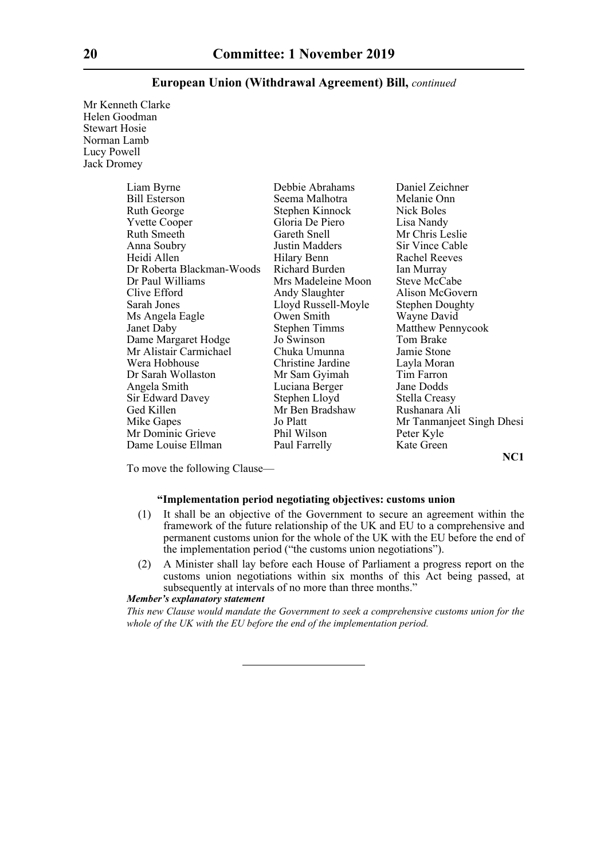Mr Kenneth Clarke Helen Goodman Stewart Hosie Norman Lamb Lucy Powell Jack Dromey

| Liam Byrne                | Debbie Abrahams      | Daniel Zeichner           |
|---------------------------|----------------------|---------------------------|
| <b>Bill Esterson</b>      | Seema Malhotra       | Melanie Onn               |
| Ruth George               | Stephen Kinnock      | Nick Boles                |
| <b>Yvette Cooper</b>      | Gloria De Piero      | Lisa Nandy                |
| Ruth Smeeth               | Gareth Snell         | Mr Chris Leslie           |
| Anna Soubry               | Justin Madders       | Sir Vince Cable           |
| Heidi Allen               | Hilary Benn          | <b>Rachel Reeves</b>      |
| Dr Roberta Blackman-Woods | Richard Burden       | Ian Murray                |
| Dr Paul Williams          | Mrs Madeleine Moon   | Steve McCabe              |
| Clive Efford              | Andy Slaughter       | Alison McGovern           |
| Sarah Jones               | Lloyd Russell-Moyle  | <b>Stephen Doughty</b>    |
| Ms Angela Eagle           | Owen Smith           | Wayne David               |
| Janet Daby                | <b>Stephen Timms</b> | <b>Matthew Pennycook</b>  |
| Dame Margaret Hodge       | Jo Swinson           | Tom Brake                 |
| Mr Alistair Carmichael    | Chuka Umunna         | Jamie Stone               |
| Wera Hobhouse             | Christine Jardine    | Layla Moran               |
| Dr Sarah Wollaston        | Mr Sam Gyimah        | Tim Farron                |
| Angela Smith              | Luciana Berger       | Jane Dodds                |
| Sir Edward Davey          | Stephen Lloyd        | Stella Creasy             |
| Ged Killen                | Mr Ben Bradshaw      | Rushanara Ali             |
| Mike Gapes                | Jo Platt             | Mr Tanmanjeet Singh Dhesi |
| Mr Dominic Grieve         | Phil Wilson          | Peter Kyle                |
| Dame Louise Ellman        | Paul Farrelly        | Kate Green                |

**NC1**

To move the following Clause—

#### **"Implementation period negotiating objectives: customs union**

- (1) It shall be an objective of the Government to secure an agreement within the framework of the future relationship of the UK and EU to a comprehensive and permanent customs union for the whole of the UK with the EU before the end of the implementation period ("the customs union negotiations").
- (2) A Minister shall lay before each House of Parliament a progress report on the customs union negotiations within six months of this Act being passed, at subsequently at intervals of no more than three months."

#### *Member's explanatory statement*

*This new Clause would mandate the Government to seek a comprehensive customs union for the whole of the UK with the EU before the end of the implementation period.*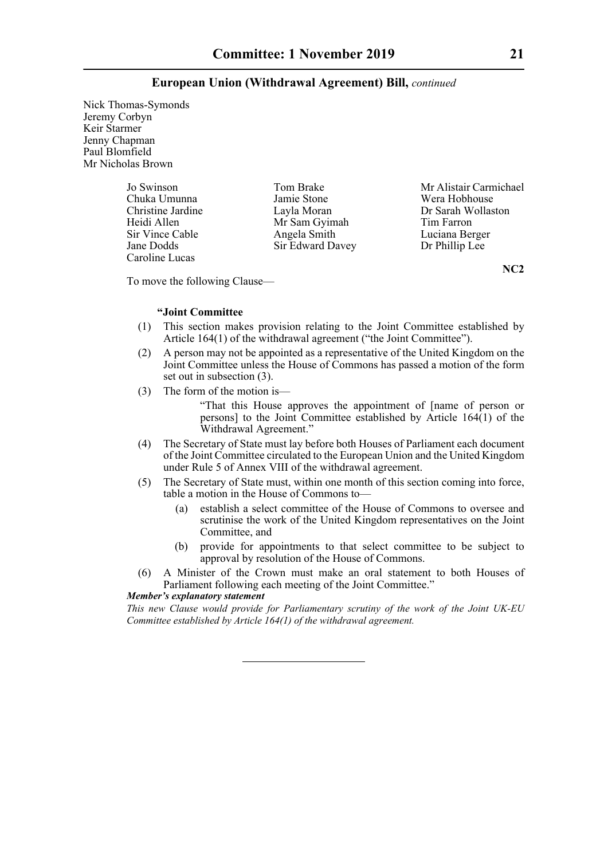Nick Thomas-Symonds Jeremy Corbyn Keir Starmer Jenny Chapman Paul Blomfield Mr Nicholas Brown

> Chuka Umunna Jamie Stone<br>Christine Jardine Layla Moran Caroline Lucas

Mr Sam Gyimah Sir Vince Cable Angela Smith Luciana Berger Jane Dodds Sir Edward Davey Dr Phillip Lee

Jo Swinson Tom Brake Mr Alistair Carmichael<br>
Chuka Umunna Jamie Stone Wera Hobhouse Christine Jardine Layla Moran Dr Sarah Wollaston<br>
Heidi Allen Mr Sam Gvimah Tim Farron

**NC2**

To move the following Clause—

#### **"Joint Committee**

- (1) This section makes provision relating to the Joint Committee established by Article 164(1) of the withdrawal agreement ("the Joint Committee").
- (2) A person may not be appointed as a representative of the United Kingdom on the Joint Committee unless the House of Commons has passed a motion of the form set out in subsection (3).
- (3) The form of the motion is—

 "That this House approves the appointment of [name of person or persons] to the Joint Committee established by Article 164(1) of the Withdrawal Agreement."

- (4) The Secretary of State must lay before both Houses of Parliament each document of the Joint Committee circulated to the European Union and the United Kingdom under Rule 5 of Annex VIII of the withdrawal agreement.
- (5) The Secretary of State must, within one month of this section coming into force, table a motion in the House of Commons to—
	- (a) establish a select committee of the House of Commons to oversee and scrutinise the work of the United Kingdom representatives on the Joint Committee, and
	- (b) provide for appointments to that select committee to be subject to approval by resolution of the House of Commons.
- (6) A Minister of the Crown must make an oral statement to both Houses of Parliament following each meeting of the Joint Committee."

#### *Member's explanatory statement*

*This new Clause would provide for Parliamentary scrutiny of the work of the Joint UK-EU Committee established by Article 164(1) of the withdrawal agreement.*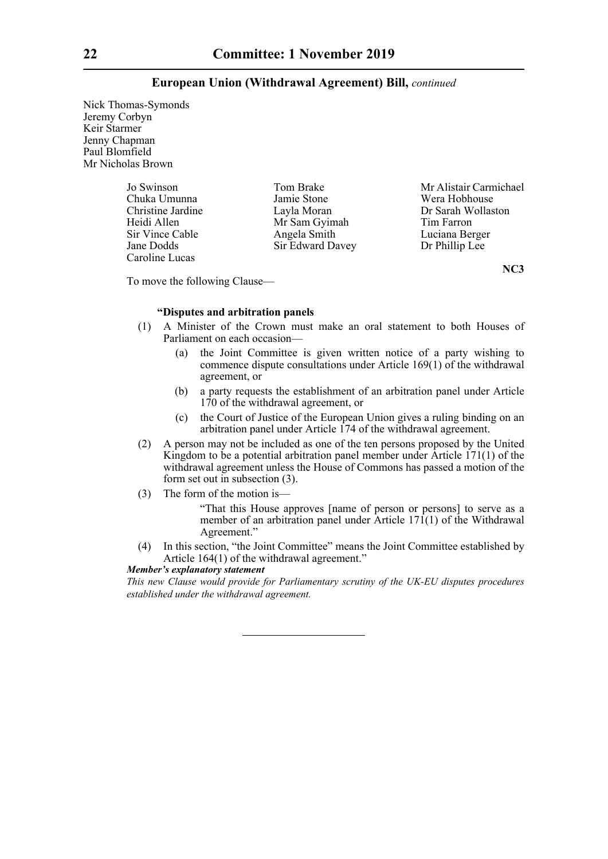Nick Thomas-Symonds Jeremy Corbyn Keir Starmer Jenny Chapman Paul Blomfield Mr Nicholas Brown

> Chuka Umunna<br>Christine Jardine Caroline Lucas

Mr Sam Gyimah Sir Vince Cable Angela Smith Luciana Berger Jane Dodds Sir Edward Davey Dr Phillip Lee

Jo Swinson Tom Brake Mr Alistair Carmichael<br>
Chuka Umunna Jamie Stone Wera Hobhouse Christine Jardine Layla Moran Dr Sarah Wollaston

**NC3**

To move the following Clause—

### **"Disputes and arbitration panels**

- (1) A Minister of the Crown must make an oral statement to both Houses of Parliament on each occasion—
	- (a) the Joint Committee is given written notice of a party wishing to commence dispute consultations under Article 169(1) of the withdrawal agreement, or
	- (b) a party requests the establishment of an arbitration panel under Article 170 of the withdrawal agreement, or
	- (c) the Court of Justice of the European Union gives a ruling binding on an arbitration panel under Article 174 of the withdrawal agreement.
- (2) A person may not be included as one of the ten persons proposed by the United Kingdom to be a potential arbitration panel member under Article 171(1) of the withdrawal agreement unless the House of Commons has passed a motion of the form set out in subsection (3).
- (3) The form of the motion is—

 "That this House approves [name of person or persons] to serve as a member of an arbitration panel under Article  $171(1)$  of the Withdrawal Agreement."

(4) In this section, "the Joint Committee" means the Joint Committee established by Article 164(1) of the withdrawal agreement."

*Member's explanatory statement* 

*This new Clause would provide for Parliamentary scrutiny of the UK-EU disputes procedures established under the withdrawal agreement.*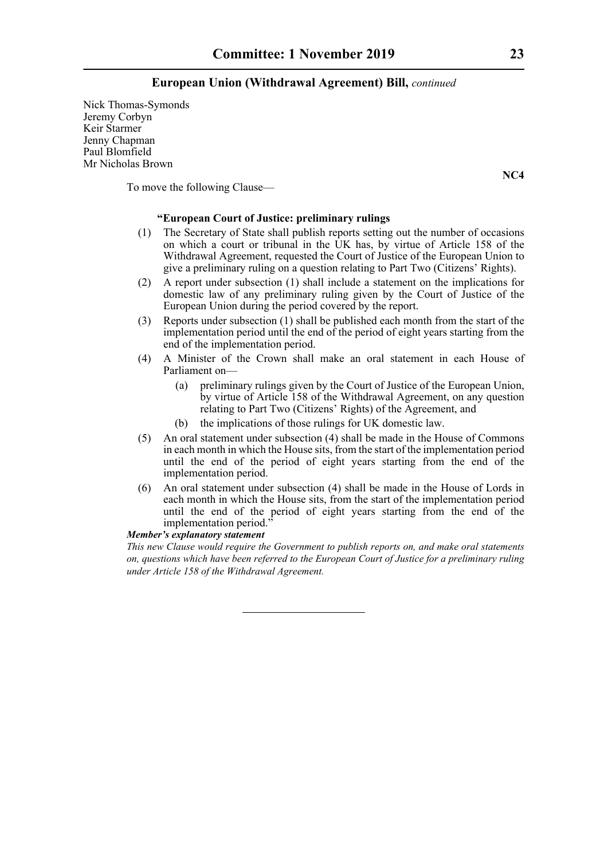Nick Thomas-Symonds Jeremy Corbyn Keir Starmer Jenny Chapman Paul Blomfield Mr Nicholas Brown

To move the following Clause—

### **"European Court of Justice: preliminary rulings**

- (1) The Secretary of State shall publish reports setting out the number of occasions on which a court or tribunal in the UK has, by virtue of Article 158 of the Withdrawal Agreement, requested the Court of Justice of the European Union to give a preliminary ruling on a question relating to Part Two (Citizens' Rights).
- (2) A report under subsection (1) shall include a statement on the implications for domestic law of any preliminary ruling given by the Court of Justice of the European Union during the period covered by the report.
- (3) Reports under subsection (1) shall be published each month from the start of the implementation period until the end of the period of eight years starting from the end of the implementation period.
- (4) A Minister of the Crown shall make an oral statement in each House of Parliament on—
	- (a) preliminary rulings given by the Court of Justice of the European Union, by virtue of Article 158 of the Withdrawal Agreement, on any question relating to Part Two (Citizens' Rights) of the Agreement, and
	- (b) the implications of those rulings for UK domestic law.
- (5) An oral statement under subsection (4) shall be made in the House of Commons in each month in which the House sits, from the start of the implementation period until the end of the period of eight years starting from the end of the implementation period.
- (6) An oral statement under subsection (4) shall be made in the House of Lords in each month in which the House sits, from the start of the implementation period until the end of the period of eight years starting from the end of the implementation period."

#### *Member's explanatory statement*

*This new Clause would require the Government to publish reports on, and make oral statements on, questions which have been referred to the European Court of Justice for a preliminary ruling under Article 158 of the Withdrawal Agreement.*

**NC4**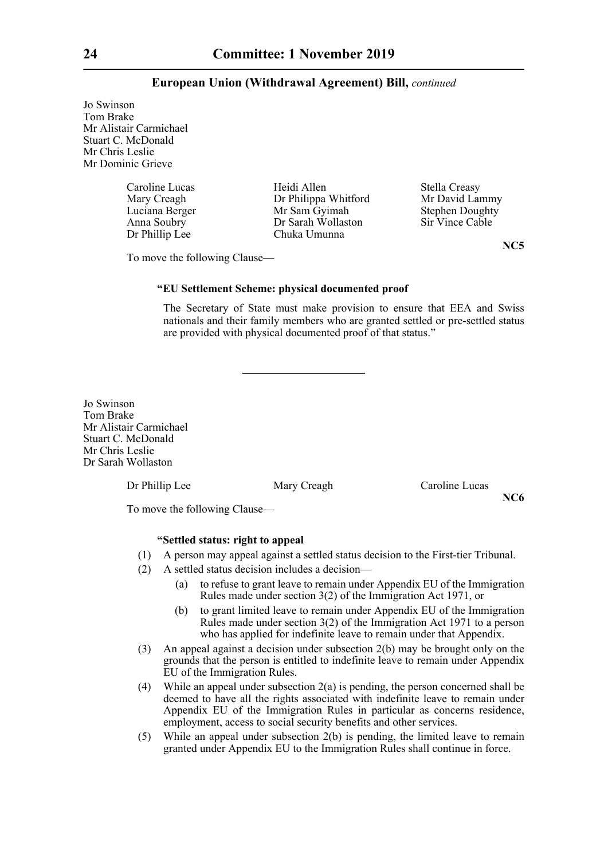Jo Swinson Tom Brake Mr Alistair Carmichael Stuart C. McDonald Mr Chris Leslie Mr Dominic Grieve

| Heidi Allen<br>Dr Philippa Whitford<br>Mr Sam Gyimah<br>Dr Sarah Wollaston | Stella Creasy<br>Mr David Lammy<br><b>Stephen Doughty</b><br>Sir Vince Cable |
|----------------------------------------------------------------------------|------------------------------------------------------------------------------|
| Chuka Umunna                                                               |                                                                              |
|                                                                            |                                                                              |

phen Doughty

**NC5**

**NC6**

To move the following Clause—

#### **"EU Settlement Scheme: physical documented proof**

The Secretary of State must make provision to ensure that EEA and Swiss nationals and their family members who are granted settled or pre-settled status are provided with physical documented proof of that status."

Jo Swinson Tom Brake Mr Alistair Carmichael Stuart C. McDonald Mr Chris Leslie Dr Sarah Wollaston

Dr Phillip Lee Mary Creagh Caroline Lucas

To move the following Clause—

#### **"Settled status: right to appeal**

- (1) A person may appeal against a settled status decision to the First-tier Tribunal.
- (2) A settled status decision includes a decision—
	- (a) to refuse to grant leave to remain under Appendix EU of the Immigration Rules made under section 3(2) of the Immigration Act 1971, or
	- (b) to grant limited leave to remain under Appendix EU of the Immigration Rules made under section 3(2) of the Immigration Act 1971 to a person who has applied for indefinite leave to remain under that Appendix.
- (3) An appeal against a decision under subsection 2(b) may be brought only on the grounds that the person is entitled to indefinite leave to remain under Appendix EU of the Immigration Rules.
- (4) While an appeal under subsection  $2(a)$  is pending, the person concerned shall be deemed to have all the rights associated with indefinite leave to remain under Appendix EU of the Immigration Rules in particular as concerns residence, employment, access to social security benefits and other services.
- (5) While an appeal under subsection 2(b) is pending, the limited leave to remain granted under Appendix EU to the Immigration Rules shall continue in force.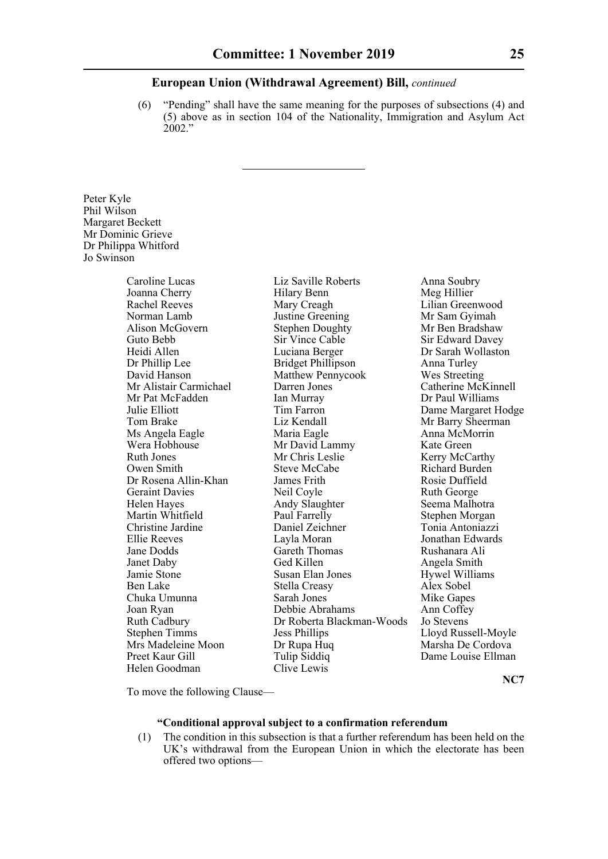(6) "Pending" shall have the same meaning for the purposes of subsections (4) and (5) above as in section 104 of the Nationality, Immigration and Asylum Act 2002."

Peter Kyle Phil Wilson Margaret Beckett Mr Dominic Grieve Dr Philippa Whitford Jo Swinson

> Joanna Cherry Ms Angela Eagle Maria Eagle<br>Wera Hobhouse Mr David La  $Mrs$  Madeleine Moon Dr Rupa Huq Helen Goodman Clive Lewis

Caroline Lucas Liz Saville Roberts Anna Soubry<br>
Joanna Cherry Hilary Benn Meg Hillier Rachel Reeves Mary Creagh Lilian Greenwood Norman Lamb Justine Greening Mr Sam Gyimah<br>Alison McGovern Stephen Doughty Mr Ben Bradshaw Stephen Doughty<br>Sir Vince Cable Guto Bebb Sir Vince Cable Sir Edward Davey Heidi Allen Luciana Berger Dr Sarah Wollaston Dr Phillip Lee Bridget Phillipson Anna Turley David Hanson Matthew Pennycook Wes Streeting Mr Alistair Carmichael Darren Jones Catherine McKinnell Mr Pat McFadden Ian Murray Dr Paul Williams Julie Elliott Tim Farron Dame Margaret Hodge Tom Brake Liz Kendall Mr Barry Sheerman<br>
Ms Angela Eagle Maria Eagle Maria Anna McMorrin Mr David Lammy Kate Green Ruth Jones Mr Chris Leslie Kerry McCarthy Owen Smith Steve McCabe Richard Burden Dr Rosena Allin-Khan James Frith Rosie Duffield Geraint Davies **Neil Coyle Ruth George** Ruth George Helen Hayes Andy Slaughter Seema Malhotra Martin Whitfield **Paul Farrelly** Paul Farrelly Stephen Morgan Christine Jardine Daniel Zeichner Tonia Antoniazzi Ellie Reeves Layla Moran Jonathan Edwards Jane Dodds Gareth Thomas Rushanara Ali Janet Daby Ged Killen Angela Smith<br>
Jamie Stone Susan Elan Jones Hywel William Susan Elan Jones Hywel Williams Ben Lake Stella Creasy Alex Sobel Chuka Umunna Sarah Jones Mike Gapes Joan Ryan Debbie Abrahams Ann Coffey Ruth Cadbury Dr Roberta Blackman-Woods Jo Stevens Stephen Timms Jess Phillips Lloyd Russell-Moyle Preet Kaur Gill Tulip Siddiq Dame Louise Ellman

To move the following Clause—

#### **"Conditional approval subject to a confirmation referendum**

(1) The condition in this subsection is that a further referendum has been held on the UK's withdrawal from the European Union in which the electorate has been offered two options—

**NC7**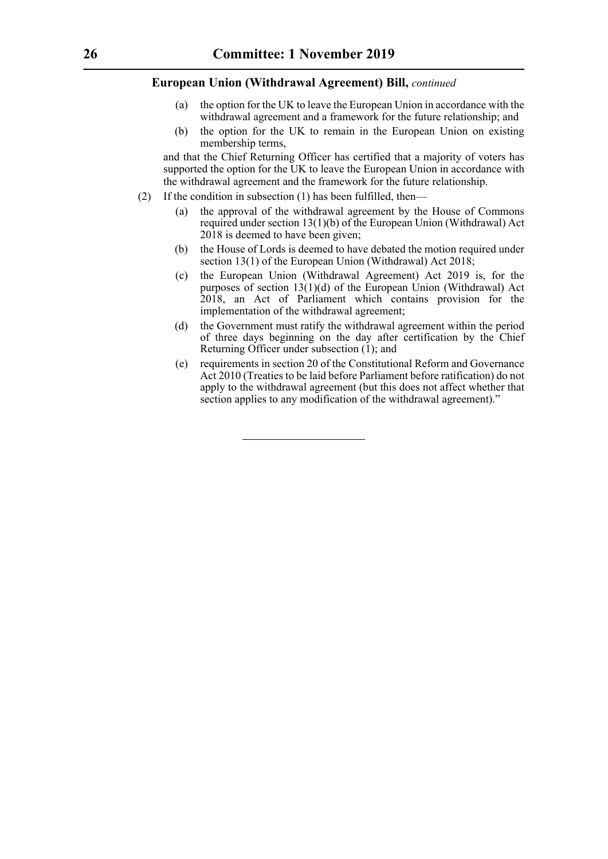- (a) the option for the UK to leave the European Union in accordance with the withdrawal agreement and a framework for the future relationship; and
- (b) the option for the UK to remain in the European Union on existing membership terms,

and that the Chief Returning Officer has certified that a majority of voters has supported the option for the UK to leave the European Union in accordance with the withdrawal agreement and the framework for the future relationship.

- (2) If the condition in subsection (1) has been fulfilled, then—
	- (a) the approval of the withdrawal agreement by the House of Commons required under section 13(1)(b) of the European Union (Withdrawal) Act 2018 is deemed to have been given;
	- (b) the House of Lords is deemed to have debated the motion required under section 13(1) of the European Union (Withdrawal) Act 2018;
	- (c) the European Union (Withdrawal Agreement) Act 2019 is, for the purposes of section  $13(1)(d)$  of the European Union (Withdrawal) Act 2018, an Act of Parliament which contains provision for the implementation of the withdrawal agreement;
	- (d) the Government must ratify the withdrawal agreement within the period of three days beginning on the day after certification by the Chief Returning Officer under subsection (1); and
	- (e) requirements in section 20 of the Constitutional Reform and Governance Act 2010 (Treaties to be laid before Parliament before ratification) do not apply to the withdrawal agreement (but this does not affect whether that section applies to any modification of the withdrawal agreement)."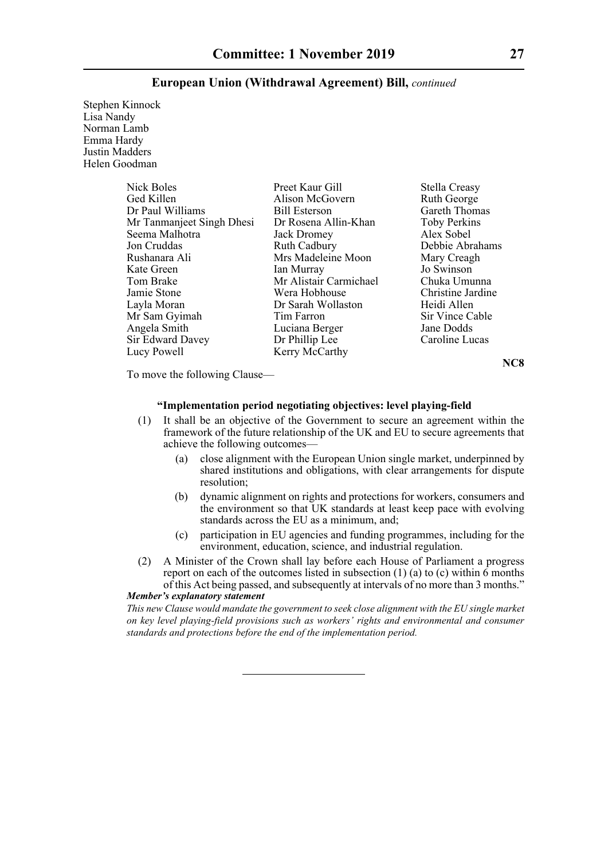Stephen Kinnock Lisa Nandy Norman Lamb Emma Hardy Justin Madders Helen Goodman

| Nick Boles                | Preet Kaur Gill        | Stella Creasy     |
|---------------------------|------------------------|-------------------|
| Ged Killen                | Alison McGovern        | Ruth George       |
| Dr Paul Williams          | <b>Bill Esterson</b>   | Gareth Thomas     |
| Mr Tanmanjeet Singh Dhesi | Dr Rosena Allin-Khan   | Toby Perkins      |
| Seema Malhotra            | Jack Dromey            | Alex Sobel        |
| Jon Cruddas               | <b>Ruth Cadbury</b>    | Debbie Abrahams   |
| Rushanara Ali             | Mrs Madeleine Moon     | Mary Creagh       |
| Kate Green                | Ian Murray             | Jo Swinson        |
| Tom Brake                 | Mr Alistair Carmichael | Chuka Umunna      |
| Jamie Stone               | Wera Hobhouse          | Christine Jardine |
| Layla Moran               | Dr Sarah Wollaston     | Heidi Allen       |
| Mr Sam Gyimah             | Tim Farron             | Sir Vince Cable   |
| Angela Smith              | Luciana Berger         | Jane Dodds        |
| Sir Edward Davey          | Dr Phillip Lee         | Caroline Lucas    |
| Lucy Powell               | Kerry McCarthy         |                   |

**NC8**

To move the following Clause—

#### **"Implementation period negotiating objectives: level playing-field**

- (1) It shall be an objective of the Government to secure an agreement within the framework of the future relationship of the UK and EU to secure agreements that achieve the following outcomes—
	- (a) close alignment with the European Union single market, underpinned by shared institutions and obligations, with clear arrangements for dispute resolution;
	- (b) dynamic alignment on rights and protections for workers, consumers and the environment so that UK standards at least keep pace with evolving standards across the EU as a minimum, and;
	- (c) participation in EU agencies and funding programmes, including for the environment, education, science, and industrial regulation.
- (2) A Minister of the Crown shall lay before each House of Parliament a progress report on each of the outcomes listed in subsection (1) (a) to (c) within  $\overline{6}$  months of this Act being passed, and subsequently at intervals of no more than 3 months." *Member's explanatory statement*

*This new Clause would mandate the government to seek close alignment with the EU single market on key level playing-field provisions such as workers' rights and environmental and consumer standards and protections before the end of the implementation period.*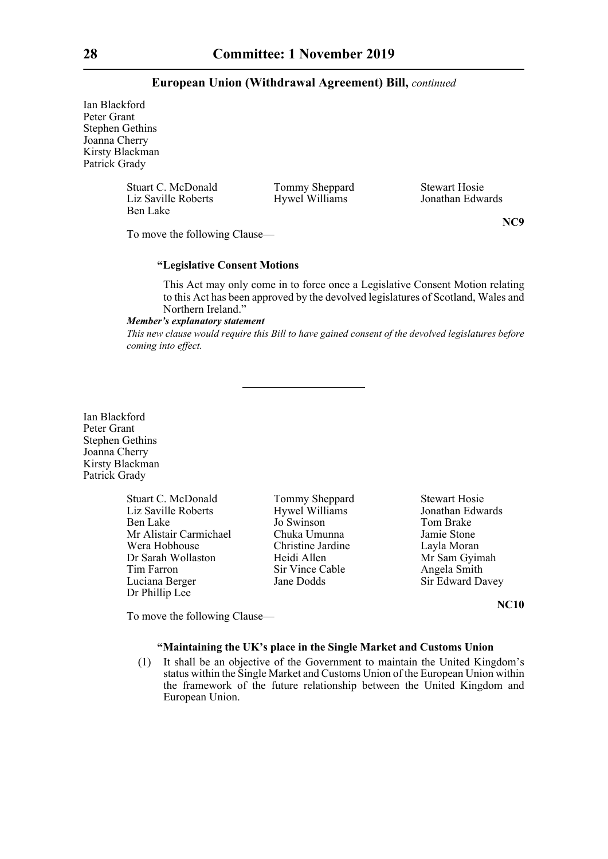Ian Blackford Peter Grant Stephen Gethins Joanna Cherry Kirsty Blackman Patrick Grady

> Stuart C. McDonald Tommy Sheppard Stewart Hosie<br>
> Liz Saville Roberts Hywel Williams Jonathan Edwards Ben Lake

Hywel Williams

To move the following Clause—

**NC9**

#### **"Legislative Consent Motions**

This Act may only come in to force once a Legislative Consent Motion relating to this Act has been approved by the devolved legislatures of Scotland, Wales and Northern Ireland."

#### *Member's explanatory statement*

*This new clause would require this Bill to have gained consent of the devolved legislatures before coming into effect.*

Ian Blackford Peter Grant Stephen Gethins Joanna Cherry Kirsty Blackman Patrick Grady

> Stuart C. McDonald Tommy Sheppard Stewart Hosie<br>
> Liz Saville Roberts Hywel Williams Jonathan Edwards Liz Saville Roberts Hywel Williams<br>
> Hywel Williams<br>
> Jo Swinson Mr Alistair Carmichael Chuka Umunna Jamie Stone Wera Hobhouse Christine Jardine Layla Moran Dr Sarah Wollaston Heidi Allen Mr Sam Gyimah Tim Farron Sir Vince Cable Angela Smith<br>
> Luciana Berger Jane Dodds Sir Edward Da Dr Phillip Lee

Jo Swinson<br>Chuka Umunna Jamie Stone

**Luciana Berger Sir Edward Davey** Sir Edward Davey

**NC10**

To move the following Clause—

#### **"Maintaining the UK's place in the Single Market and Customs Union**

(1) It shall be an objective of the Government to maintain the United Kingdom's status within the Single Market and Customs Union of the European Union within the framework of the future relationship between the United Kingdom and European Union.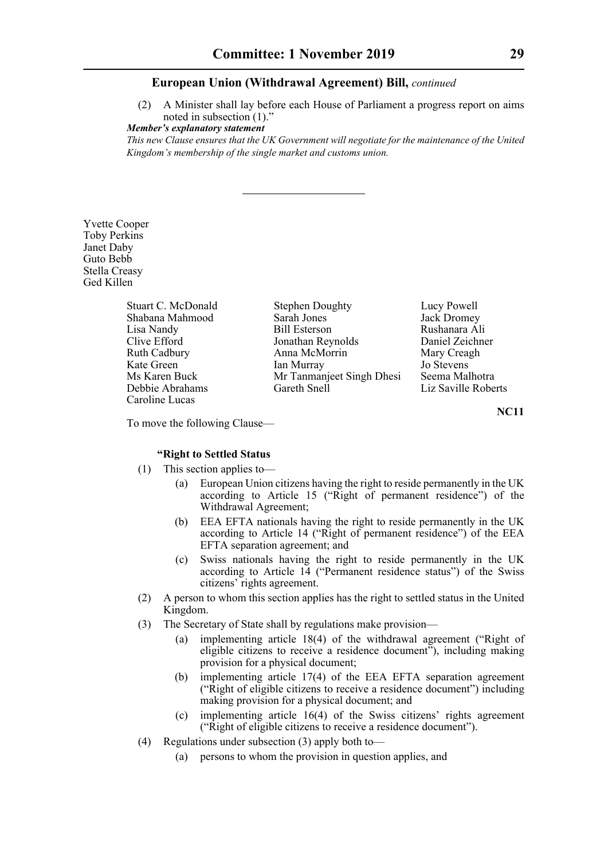(2) A Minister shall lay before each House of Parliament a progress report on aims noted in subsection (1)."

*Member's explanatory statement* 

*This new Clause ensures that the UK Government will negotiate for the maintenance of the United Kingdom's membership of the single market and customs union.*

Yvette Cooper Toby Perkins Janet Daby Guto Bebb Stella Creasy Ged Killen

Caroline Lucas

Stuart C. McDonald Stephen Doughty Lucy Powell Shabana Mahmood Sarah Jones Jack Dromey<br>Lisa Nandy Bill Esterson Rushanara Al Clive Efford Jonathan Reynolds Daniel Zeichner Ruth Cadbury **Anna McMorrin** Mary Creagh<br>
Kate Green **Mary Creagh**<br>
Mary Creagh<br>
Mary Creagh<br>
Mary Creagh<br>
Mary Creagh<br>
Jo Stevens Kate Green Ian Murray Jo Stevens<br>
Ms Karen Buck Mr Tanmanieet Singh Dhesi Seema Malhotra Mr Tanmanjeet Singh Dhesi Debbie Abrahams Gareth Snell Liz Saville Roberts

Rushanara Ali

**NC11**

To move the following Clause—

#### **"Right to Settled Status**

- (1) This section applies to—
	- (a) European Union citizens having the right to reside permanently in the UK according to Article 15 ("Right of permanent residence") of the Withdrawal Agreement;
	- (b) EEA EFTA nationals having the right to reside permanently in the UK according to Article 14 ("Right of permanent residence") of the EEA EFTA separation agreement; and
	- (c) Swiss nationals having the right to reside permanently in the UK according to Article 14 ("Permanent residence status") of the Swiss citizens' rights agreement.
- (2) A person to whom this section applies has the right to settled status in the United Kingdom.
- (3) The Secretary of State shall by regulations make provision—
	- (a) implementing article 18(4) of the withdrawal agreement ("Right of eligible citizens to receive a residence document"), including making provision for a physical document;
	- (b) implementing article 17(4) of the EEA EFTA separation agreement ("Right of eligible citizens to receive a residence document") including making provision for a physical document; and
	- (c) implementing article 16(4) of the Swiss citizens' rights agreement ("Right of eligible citizens to receive a residence document").
- (4) Regulations under subsection (3) apply both to—
	- (a) persons to whom the provision in question applies, and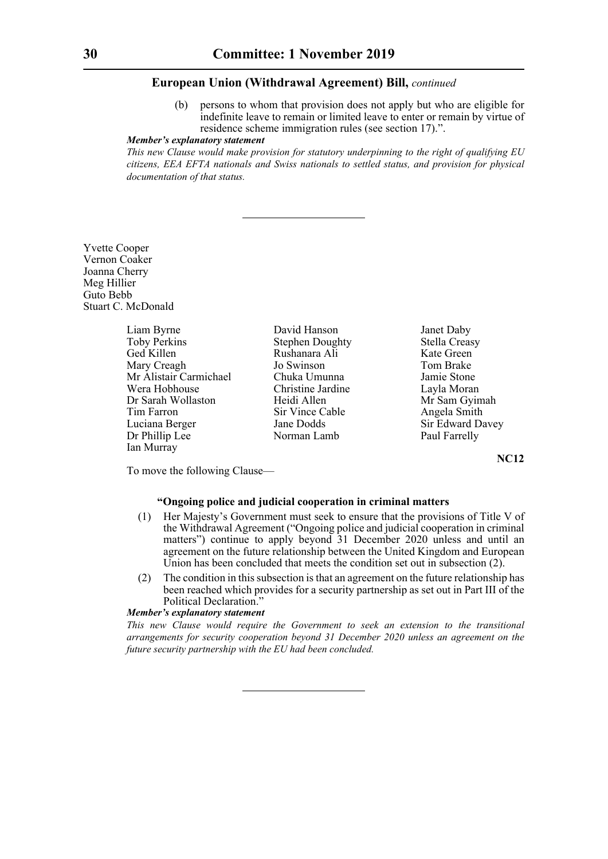persons to whom that provision does not apply but who are eligible for indefinite leave to remain or limited leave to enter or remain by virtue of residence scheme immigration rules (see section 17).".

#### *Member's explanatory statement*

*This new Clause would make provision for statutory underpinning to the right of qualifying EU citizens, EEA EFTA nationals and Swiss nationals to settled status, and provision for physical documentation of that status.*

Yvette Cooper Vernon Coaker Joanna Cherry Meg Hillier Guto Bebb Stuart C. McDonald

> Liam Byrne David Hanson Janet Daby<br>
> Toby Perkins Stephen Doughty Stella Creasy Toby Perkins Stephen Doughty Stella Creas<br>
> Ged Killen Stephen Rushanara Ali Kate Green Mary Creagh Jo Swinson Mr Alistair Carmichael Chuka Umunna Jamie Stone<br>
> Vera Hobhouse Christine Jardine Lavla Morar Dr Sarah Wollaston Heidi Allen Mr Sam Gyimah Tim Farron Sir Vince Cable Angela Smith Luciana Berger Jane Dodds Sir Edward Davey Dr Phillip Lee Norman Lamb Paul Farrelly Ian Murray

Ged Killen Rushanara Ali Kate Green Christine Jardine Layla Moran

**NC12**

To move the following Clause—

#### **"Ongoing police and judicial cooperation in criminal matters**

- (1) Her Majesty's Government must seek to ensure that the provisions of Title V of the Withdrawal Agreement ("Ongoing police and judicial cooperation in criminal matters") continue to apply beyond 31 December 2020 unless and until an agreement on the future relationship between the United Kingdom and European Union has been concluded that meets the condition set out in subsection (2).
- (2) The condition in this subsection is that an agreement on the future relationship has been reached which provides for a security partnership as set out in Part III of the Political Declaration."

#### *Member's explanatory statement*

*This new Clause would require the Government to seek an extension to the transitional arrangements for security cooperation beyond 31 December 2020 unless an agreement on the future security partnership with the EU had been concluded.*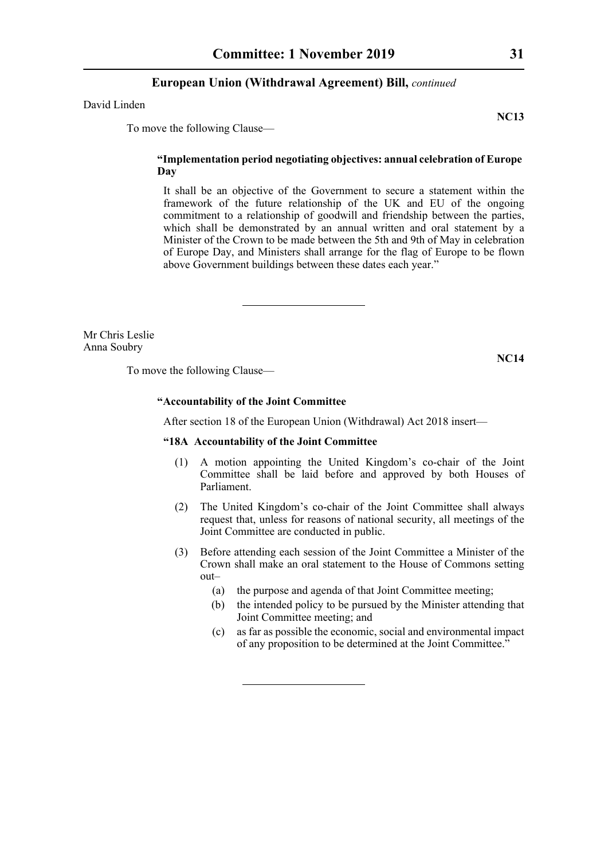David Linden

To move the following Clause—

#### **"Implementation period negotiating objectives: annual celebration of Europe Day**

It shall be an objective of the Government to secure a statement within the framework of the future relationship of the UK and EU of the ongoing commitment to a relationship of goodwill and friendship between the parties, which shall be demonstrated by an annual written and oral statement by a Minister of the Crown to be made between the 5th and 9th of May in celebration of Europe Day, and Ministers shall arrange for the flag of Europe to be flown above Government buildings between these dates each year."

Mr Chris Leslie Anna Soubry

To move the following Clause—

#### **"Accountability of the Joint Committee**

After section 18 of the European Union (Withdrawal) Act 2018 insert—

#### **"18A Accountability of the Joint Committee**

- (1) A motion appointing the United Kingdom's co-chair of the Joint Committee shall be laid before and approved by both Houses of Parliament.
- (2) The United Kingdom's co-chair of the Joint Committee shall always request that, unless for reasons of national security, all meetings of the Joint Committee are conducted in public.
- (3) Before attending each session of the Joint Committee a Minister of the Crown shall make an oral statement to the House of Commons setting out–
	- (a) the purpose and agenda of that Joint Committee meeting;
	- (b) the intended policy to be pursued by the Minister attending that Joint Committee meeting; and
	- (c) as far as possible the economic, social and environmental impact of any proposition to be determined at the Joint Committee."

**NC13**

**NC14**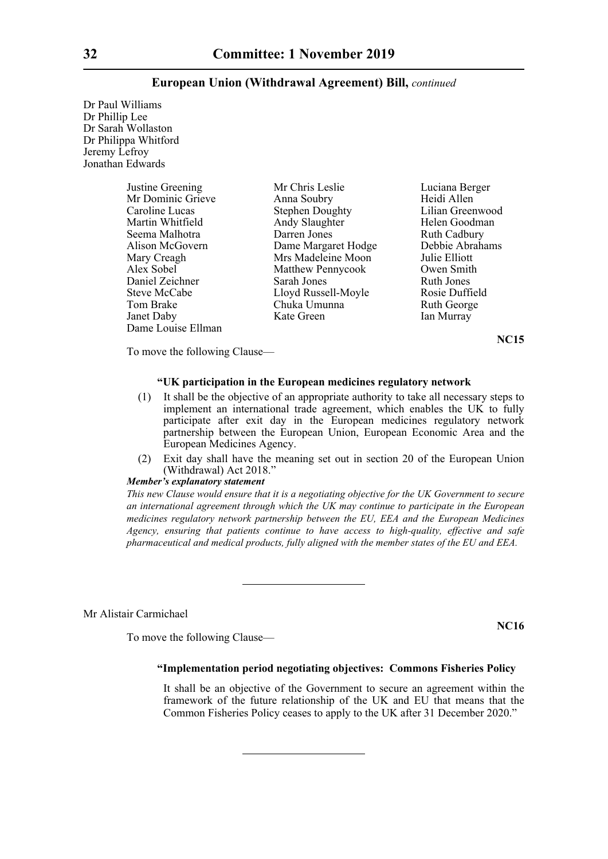Dr Paul Williams Dr Phillip Lee Dr Sarah Wollaston Dr Philippa Whitford Jeremy Lefroy Jonathan Edwards

| Justine Greening   | Mr Chris Leslie        | Luciana Berger      |
|--------------------|------------------------|---------------------|
| Mr Dominic Grieve  | Anna Soubry            | Heidi Allen         |
| Caroline Lucas     | <b>Stephen Doughty</b> | Lilian Greenwood    |
| Martin Whitfield   | Andy Slaughter         | Helen Goodman       |
| Seema Malhotra     | Darren Jones           | <b>Ruth Cadbury</b> |
| Alison McGovern    | Dame Margaret Hodge    | Debbie Abrahams     |
| Mary Creagh        | Mrs Madeleine Moon     | Julie Elliott       |
| Alex Sobel         | Matthew Pennycook      | Owen Smith          |
| Daniel Zeichner    | Sarah Jones            | Ruth Jones          |
| Steve McCabe       | Lloyd Russell-Moyle    | Rosie Duffield      |
| Tom Brake          | Chuka Umunna           | Ruth George         |
| Janet Daby         | Kate Green             | Ian Murray          |
| Dame Louise Ellman |                        |                     |

**NC15**

To move the following Clause—

#### **"UK participation in the European medicines regulatory network**

- (1) It shall be the objective of an appropriate authority to take all necessary steps to implement an international trade agreement, which enables the UK to fully participate after exit day in the European medicines regulatory network partnership between the European Union, European Economic Area and the European Medicines Agency.
- (2) Exit day shall have the meaning set out in section 20 of the European Union (Withdrawal) Act 2018."

#### *Member's explanatory statement*

*This new Clause would ensure that it is a negotiating objective for the UK Government to secure an international agreement through which the UK may continue to participate in the European medicines regulatory network partnership between the EU, EEA and the European Medicines Agency, ensuring that patients continue to have access to high-quality, effective and safe pharmaceutical and medical products, fully aligned with the member states of the EU and EEA.*

Mr Alistair Carmichael

To move the following Clause—

#### **"Implementation period negotiating objectives: Commons Fisheries Policy**

It shall be an objective of the Government to secure an agreement within the framework of the future relationship of the UK and EU that means that the Common Fisheries Policy ceases to apply to the UK after 31 December 2020."

**NC16**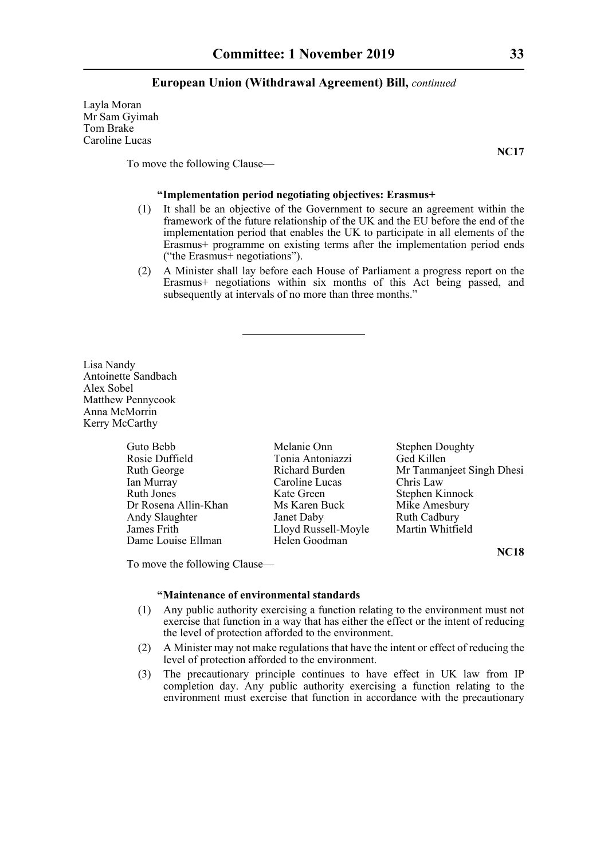Layla Moran Mr Sam Gyimah Tom Brake Caroline Lucas

**NC17**

To move the following Clause—

#### **"Implementation period negotiating objectives: Erasmus+**

- (1) It shall be an objective of the Government to secure an agreement within the framework of the future relationship of the UK and the EU before the end of the implementation period that enables the UK to participate in all elements of the Erasmus+ programme on existing terms after the implementation period ends ("the Erasmus+ negotiations").
- (2) A Minister shall lay before each House of Parliament a progress report on the Erasmus+ negotiations within six months of this Act being passed, and subsequently at intervals of no more than three months."

Lisa Nandy Antoinette Sandbach Alex Sobel Matthew Pennycook Anna McMorrin Kerry McCarthy

| Guto Bebb            | Melanie Onn         | <b>Stephen Doughty</b>    |
|----------------------|---------------------|---------------------------|
| Rosie Duffield       | Tonia Antoniazzi    | Ged Killen                |
| Ruth George          | Richard Burden      | Mr Tanmanjeet Singh Dhesi |
| Ian Murray           | Caroline Lucas      | Chris Law                 |
| Ruth Jones           | Kate Green          | Stephen Kinnock           |
| Dr Rosena Allin-Khan | Ms Karen Buck       | Mike Amesbury             |
| Andy Slaughter       | Janet Daby          | <b>Ruth Cadbury</b>       |
| James Frith          | Lloyd Russell-Moyle | Martin Whitfield          |
| Dame Louise Ellman   | Helen Goodman       |                           |

**NC18**

To move the following Clause—

#### **"Maintenance of environmental standards**

- (1) Any public authority exercising a function relating to the environment must not exercise that function in a way that has either the effect or the intent of reducing the level of protection afforded to the environment.
- (2) A Minister may not make regulations that have the intent or effect of reducing the level of protection afforded to the environment.
- (3) The precautionary principle continues to have effect in UK law from IP completion day. Any public authority exercising a function relating to the environment must exercise that function in accordance with the precautionary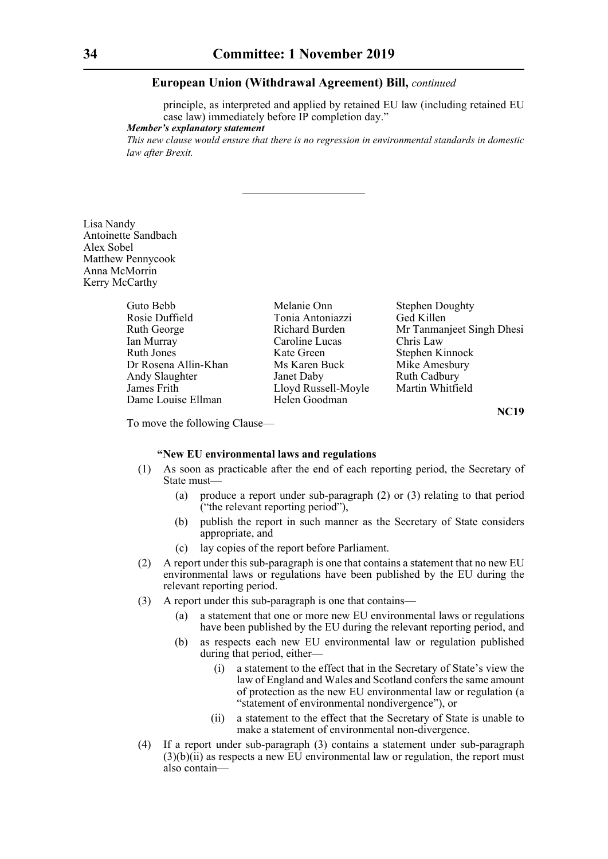principle, as interpreted and applied by retained EU law (including retained EU case law) immediately before IP completion day."

#### *Member's explanatory statement*

*This new clause would ensure that there is no regression in environmental standards in domestic law after Brexit.* 

Lisa Nandy Antoinette Sandbach Alex Sobel Matthew Pennycook Anna McMorrin Kerry McCarthy

| Guto Bebb            | Melanie Onn         | <b>Stephen Doughty</b>    |  |
|----------------------|---------------------|---------------------------|--|
| Rosie Duffield       | Tonia Antoniazzi    | Ged Killen                |  |
| Ruth George          | Richard Burden      | Mr Tanmanjeet Singh Dhesi |  |
| Ian Murray           | Caroline Lucas      | Chris Law                 |  |
| Ruth Jones           | Kate Green          | Stephen Kinnock           |  |
| Dr Rosena Allin-Khan | Ms Karen Buck       | Mike Amesbury             |  |
| Andy Slaughter       | Janet Daby          | <b>Ruth Cadbury</b>       |  |
| James Frith          | Lloyd Russell-Moyle | Martin Whitfield          |  |
| Dame Louise Ellman   | Helen Goodman       |                           |  |

**NC19**

To move the following Clause—

#### **"New EU environmental laws and regulations**

- (1) As soon as practicable after the end of each reporting period, the Secretary of State must—
	- (a) produce a report under sub-paragraph (2) or (3) relating to that period ("the relevant reporting period"),
	- (b) publish the report in such manner as the Secretary of State considers appropriate, and
	- (c) lay copies of the report before Parliament.
- (2) A report under this sub-paragraph is one that contains a statement that no new EU environmental laws or regulations have been published by the EU during the relevant reporting period.
- (3) A report under this sub-paragraph is one that contains—
	- (a) a statement that one or more new EU environmental laws or regulations have been published by the EU during the relevant reporting period, and
	- (b) as respects each new EU environmental law or regulation published during that period, either—
		- (i) a statement to the effect that in the Secretary of State's view the law of England and Wales and Scotland confers the same amount of protection as the new EU environmental law or regulation (a "statement of environmental nondivergence"), or
		- (ii) a statement to the effect that the Secretary of State is unable to make a statement of environmental non-divergence.
- (4) If a report under sub-paragraph (3) contains a statement under sub-paragraph  $(3)(b)(ii)$  as respects a new EU environmental law or regulation, the report must also contain—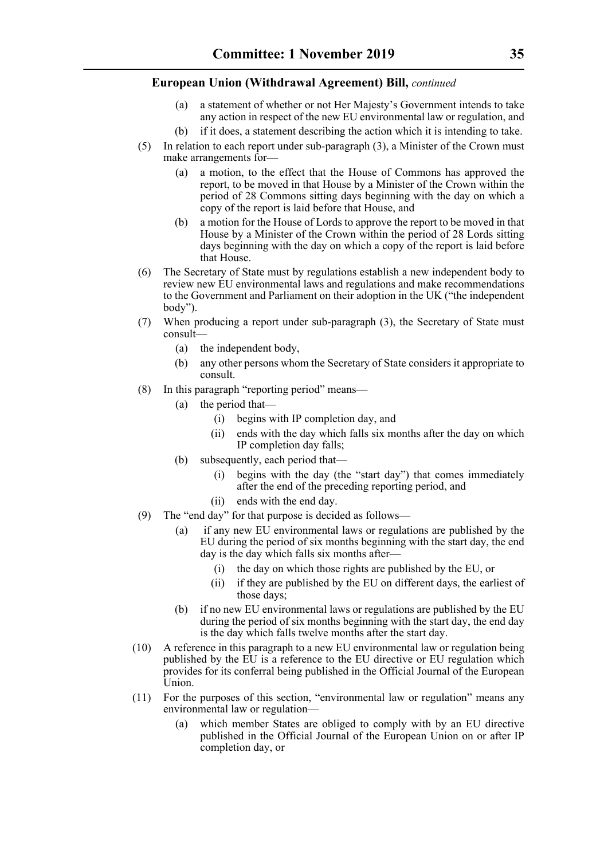- (a) a statement of whether or not Her Majesty's Government intends to take any action in respect of the new EU environmental law or regulation, and
- (b) if it does, a statement describing the action which it is intending to take.
- (5) In relation to each report under sub-paragraph (3), a Minister of the Crown must make arrangements for—
	- (a) a motion, to the effect that the House of Commons has approved the report, to be moved in that House by a Minister of the Crown within the period of 28 Commons sitting days beginning with the day on which a copy of the report is laid before that House, and
	- (b) a motion for the House of Lords to approve the report to be moved in that House by a Minister of the Crown within the period of 28 Lords sitting days beginning with the day on which a copy of the report is laid before that House.
- (6) The Secretary of State must by regulations establish a new independent body to review new EU environmental laws and regulations and make recommendations to the Government and Parliament on their adoption in the UK ("the independent body").
- (7) When producing a report under sub-paragraph (3), the Secretary of State must consult—
	- (a) the independent body,
	- (b) any other persons whom the Secretary of State considers it appropriate to consult.
- (8) In this paragraph "reporting period" means—
	- (a) the period that—
		- (i) begins with IP completion day, and
		- (ii) ends with the day which falls six months after the day on which IP completion day falls;
	- (b) subsequently, each period that—
		- (i) begins with the day (the "start day") that comes immediately after the end of the preceding reporting period, and
		- (ii) ends with the end day.
- (9) The "end day" for that purpose is decided as follows—
	- (a) if any new EU environmental laws or regulations are published by the EU during the period of six months beginning with the start day, the end day is the day which falls six months after—
		- (i) the day on which those rights are published by the EU, or
		- (ii) if they are published by the EU on different days, the earliest of those days;
	- (b) if no new EU environmental laws or regulations are published by the EU during the period of six months beginning with the start day, the end day is the day which falls twelve months after the start day.
- (10) A reference in this paragraph to a new EU environmental law or regulation being published by the EU is a reference to the EU directive or EU regulation which provides for its conferral being published in the Official Journal of the European Union.
- (11) For the purposes of this section, "environmental law or regulation" means any environmental law or regulation—
	- (a) which member States are obliged to comply with by an EU directive published in the Official Journal of the European Union on or after IP completion day, or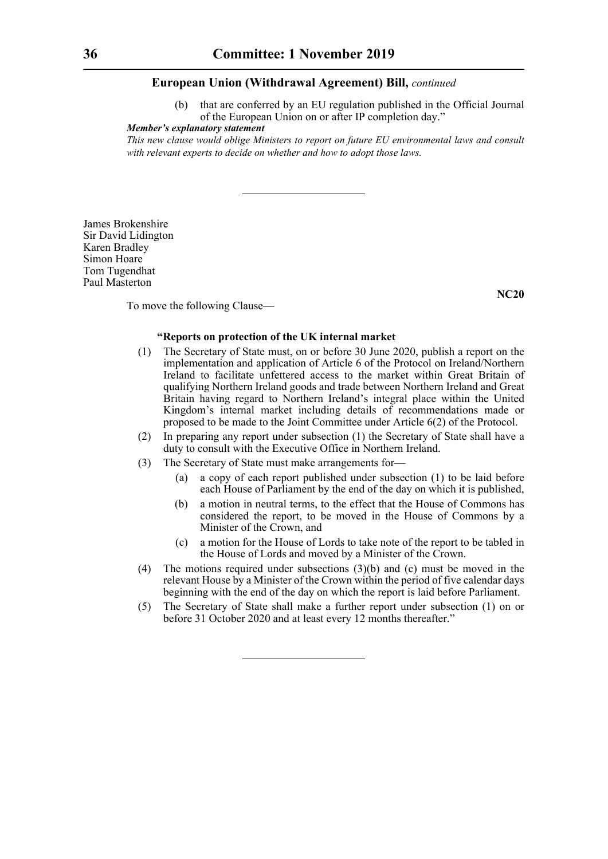that are conferred by an EU regulation published in the Official Journal of the European Union on or after IP completion day."

#### *Member's explanatory statement*

*This new clause would oblige Ministers to report on future EU environmental laws and consult with relevant experts to decide on whether and how to adopt those laws.*

James Brokenshire Sir David Lidington Karen Bradley Simon Hoare Tom Tugendhat Paul Masterton

**NC20**

To move the following Clause—

#### **"Reports on protection of the UK internal market**

- (1) The Secretary of State must, on or before 30 June 2020, publish a report on the implementation and application of Article 6 of the Protocol on Ireland/Northern Ireland to facilitate unfettered access to the market within Great Britain of qualifying Northern Ireland goods and trade between Northern Ireland and Great Britain having regard to Northern Ireland's integral place within the United Kingdom's internal market including details of recommendations made or proposed to be made to the Joint Committee under Article 6(2) of the Protocol.
- (2) In preparing any report under subsection (1) the Secretary of State shall have a duty to consult with the Executive Office in Northern Ireland.
- (3) The Secretary of State must make arrangements for—
	- (a) a copy of each report published under subsection (1) to be laid before each House of Parliament by the end of the day on which it is published,
	- (b) a motion in neutral terms, to the effect that the House of Commons has considered the report, to be moved in the House of Commons by a Minister of the Crown, and
	- (c) a motion for the House of Lords to take note of the report to be tabled in the House of Lords and moved by a Minister of the Crown.
- (4) The motions required under subsections (3)(b) and (c) must be moved in the relevant House by a Minister of the Crown within the period of five calendar days beginning with the end of the day on which the report is laid before Parliament.
- (5) The Secretary of State shall make a further report under subsection (1) on or before 31 October 2020 and at least every 12 months thereafter."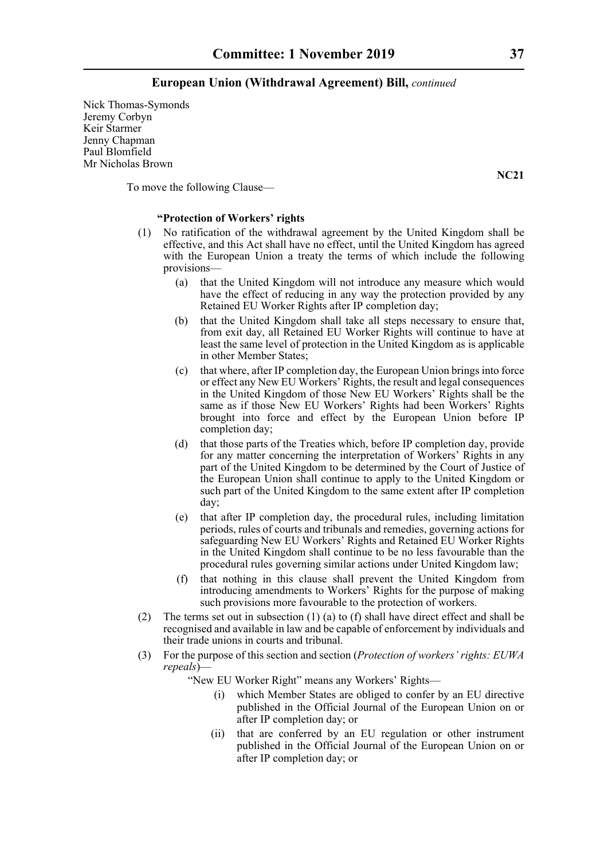Nick Thomas-Symonds Jeremy Corbyn Keir Starmer Jenny Chapman Paul Blomfield Mr Nicholas Brown

To move the following Clause—

#### **"Protection of Workers' rights**

- (1) No ratification of the withdrawal agreement by the United Kingdom shall be effective, and this Act shall have no effect, until the United Kingdom has agreed with the European Union a treaty the terms of which include the following provisions—
	- (a) that the United Kingdom will not introduce any measure which would have the effect of reducing in any way the protection provided by any Retained EU Worker Rights after IP completion day;
	- (b) that the United Kingdom shall take all steps necessary to ensure that, from exit day, all Retained EU Worker Rights will continue to have at least the same level of protection in the United Kingdom as is applicable in other Member States;
	- (c) that where, after IP completion day, the European Union brings into force or effect any New EU Workers' Rights, the result and legal consequences in the United Kingdom of those New EU Workers' Rights shall be the same as if those New EU Workers' Rights had been Workers' Rights brought into force and effect by the European Union before IP completion day;
	- (d) that those parts of the Treaties which, before IP completion day, provide for any matter concerning the interpretation of Workers' Rights in any part of the United Kingdom to be determined by the Court of Justice of the European Union shall continue to apply to the United Kingdom or such part of the United Kingdom to the same extent after IP completion day;
	- (e) that after IP completion day, the procedural rules, including limitation periods, rules of courts and tribunals and remedies, governing actions for safeguarding New EU Workers' Rights and Retained EU Worker Rights in the United Kingdom shall continue to be no less favourable than the procedural rules governing similar actions under United Kingdom law;
	- (f) that nothing in this clause shall prevent the United Kingdom from introducing amendments to Workers' Rights for the purpose of making such provisions more favourable to the protection of workers.
- (2) The terms set out in subsection (1) (a) to (f) shall have direct effect and shall be recognised and available in law and be capable of enforcement by individuals and their trade unions in courts and tribunal.
- (3) For the purpose of this section and section (*Protection of workers' rights: EUWA repeals*)—

"New EU Worker Right" means any Workers' Rights—

- (i) which Member States are obliged to confer by an EU directive published in the Official Journal of the European Union on or after IP completion day; or
- (ii) that are conferred by an EU regulation or other instrument published in the Official Journal of the European Union on or after IP completion day; or

**NC21**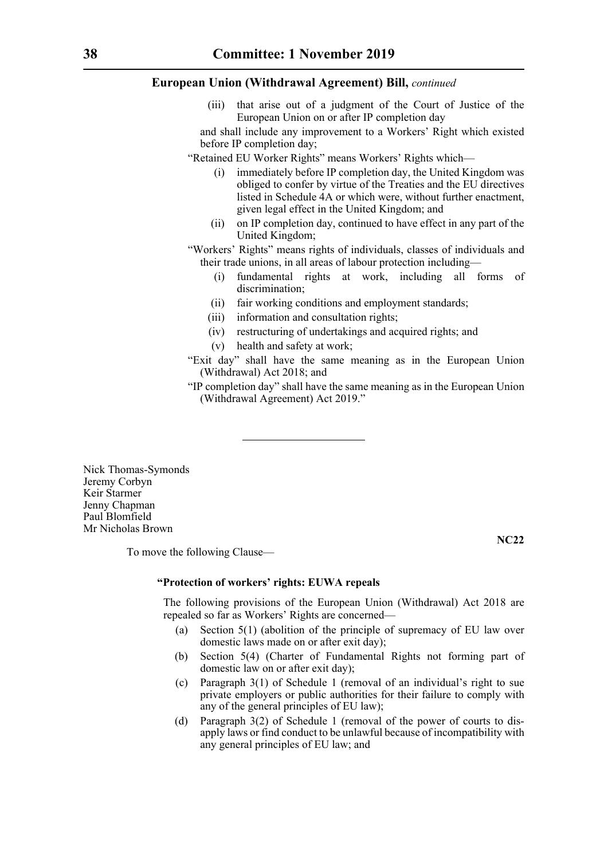(iii) that arise out of a judgment of the Court of Justice of the European Union on or after IP completion day

and shall include any improvement to a Workers' Right which existed before IP completion day;

- "Retained EU Worker Rights" means Workers' Rights which—
	- (i) immediately before IP completion day, the United Kingdom was obliged to confer by virtue of the Treaties and the EU directives listed in Schedule 4A or which were, without further enactment, given legal effect in the United Kingdom; and
	- (ii) on IP completion day, continued to have effect in any part of the United Kingdom;
- "Workers' Rights" means rights of individuals, classes of individuals and their trade unions, in all areas of labour protection including—
	- (i) fundamental rights at work, including all forms of discrimination;
	- (ii) fair working conditions and employment standards;
	- (iii) information and consultation rights;
	- (iv) restructuring of undertakings and acquired rights; and
	- (v) health and safety at work;
- "Exit day" shall have the same meaning as in the European Union (Withdrawal) Act 2018; and
- "IP completion day" shall have the same meaning as in the European Union (Withdrawal Agreement) Act 2019."

Nick Thomas-Symonds Jeremy Corbyn Keir Starmer Jenny Chapman Paul Blomfield Mr Nicholas Brown

To move the following Clause—

**NC22**

#### **"Protection of workers' rights: EUWA repeals**

The following provisions of the European Union (Withdrawal) Act 2018 are repealed so far as Workers' Rights are concerned—

- (a) Section 5(1) (abolition of the principle of supremacy of EU law over domestic laws made on or after exit day);
- (b) Section 5(4) (Charter of Fundamental Rights not forming part of domestic law on or after exit day);
- (c) Paragraph 3(1) of Schedule 1 (removal of an individual's right to sue private employers or public authorities for their failure to comply with any of the general principles of EU law);
- (d) Paragraph 3(2) of Schedule 1 (removal of the power of courts to disapply laws or find conduct to be unlawful because of incompatibility with any general principles of EU law; and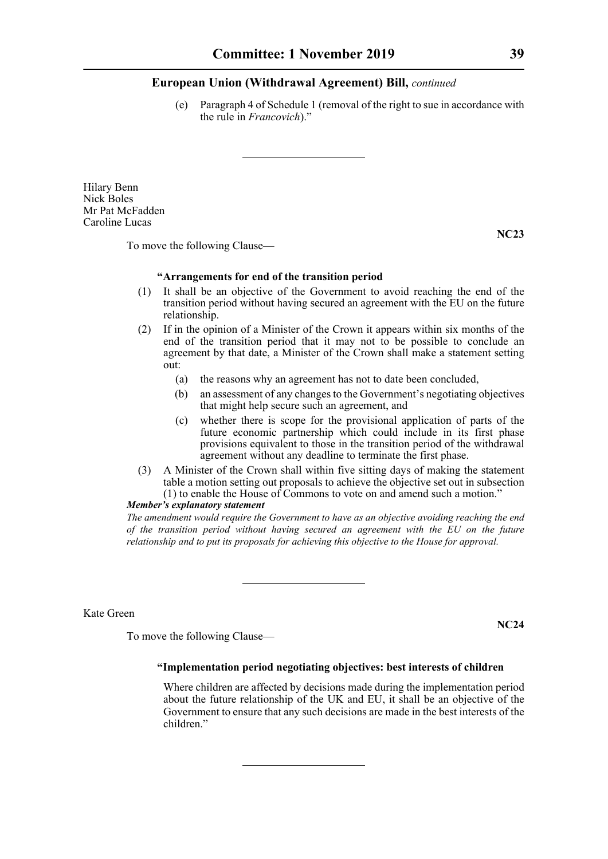(e) Paragraph 4 of Schedule 1 (removal of the right to sue in accordance with the rule in *Francovich*)."

Hilary Benn Nick Boles Mr Pat McFadden Caroline Lucas

**NC23**

To move the following Clause—

#### **"Arrangements for end of the transition period**

- (1) It shall be an objective of the Government to avoid reaching the end of the transition period without having secured an agreement with the EU on the future relationship.
- (2) If in the opinion of a Minister of the Crown it appears within six months of the end of the transition period that it may not to be possible to conclude an agreement by that date, a Minister of the Crown shall make a statement setting out:
	- (a) the reasons why an agreement has not to date been concluded,
	- (b) an assessment of any changes to the Government's negotiating objectives that might help secure such an agreement, and
	- (c) whether there is scope for the provisional application of parts of the future economic partnership which could include in its first phase provisions equivalent to those in the transition period of the withdrawal agreement without any deadline to terminate the first phase.
- (3) A Minister of the Crown shall within five sitting days of making the statement table a motion setting out proposals to achieve the objective set out in subsection (1) to enable the House of Commons to vote on and amend such a motion."

#### *Member's explanatory statement*

*The amendment would require the Government to have as an objective avoiding reaching the end of the transition period without having secured an agreement with the EU on the future relationship and to put its proposals for achieving this objective to the House for approval.*

Kate Green

**NC24**

To move the following Clause—

#### **"Implementation period negotiating objectives: best interests of children**

Where children are affected by decisions made during the implementation period about the future relationship of the UK and EU, it shall be an objective of the Government to ensure that any such decisions are made in the best interests of the children."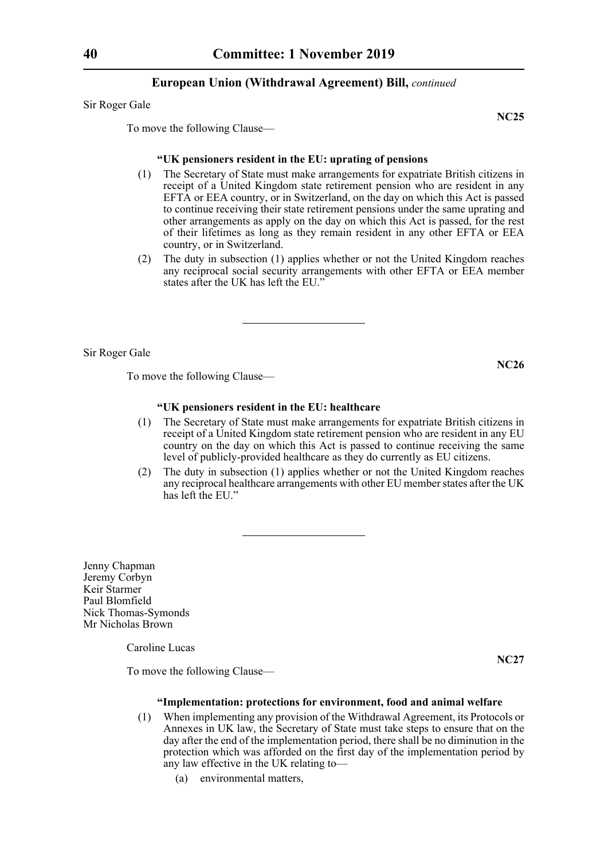Sir Roger Gale

**NC25**

To move the following Clause—

#### **"UK pensioners resident in the EU: uprating of pensions**

- (1) The Secretary of State must make arrangements for expatriate British citizens in receipt of a United Kingdom state retirement pension who are resident in any EFTA or EEA country, or in Switzerland, on the day on which this Act is passed to continue receiving their state retirement pensions under the same uprating and other arrangements as apply on the day on which this Act is passed, for the rest of their lifetimes as long as they remain resident in any other EFTA or EEA country, or in Switzerland.
- (2) The duty in subsection (1) applies whether or not the United Kingdom reaches any reciprocal social security arrangements with other EFTA or EEA member states after the UK has left the EU."

Sir Roger Gale

**NC26**

To move the following Clause—

#### **"UK pensioners resident in the EU: healthcare**

- (1) The Secretary of State must make arrangements for expatriate British citizens in receipt of a United Kingdom state retirement pension who are resident in any EU country on the day on which this Act is passed to continue receiving the same level of publicly-provided healthcare as they do currently as EU citizens.
- (2) The duty in subsection (1) applies whether or not the United Kingdom reaches any reciprocal healthcare arrangements with other EU member states after the UK has left the EU."

Jenny Chapman Jeremy Corbyn Keir Starmer Paul Blomfield Nick Thomas-Symonds Mr Nicholas Brown

Caroline Lucas

**NC27**

To move the following Clause—

#### **"Implementation: protections for environment, food and animal welfare**

- (1) When implementing any provision of the Withdrawal Agreement, its Protocols or Annexes in UK law, the Secretary of State must take steps to ensure that on the day after the end of the implementation period, there shall be no diminution in the protection which was afforded on the first day of the implementation period by any law effective in the UK relating to—
	- (a) environmental matters,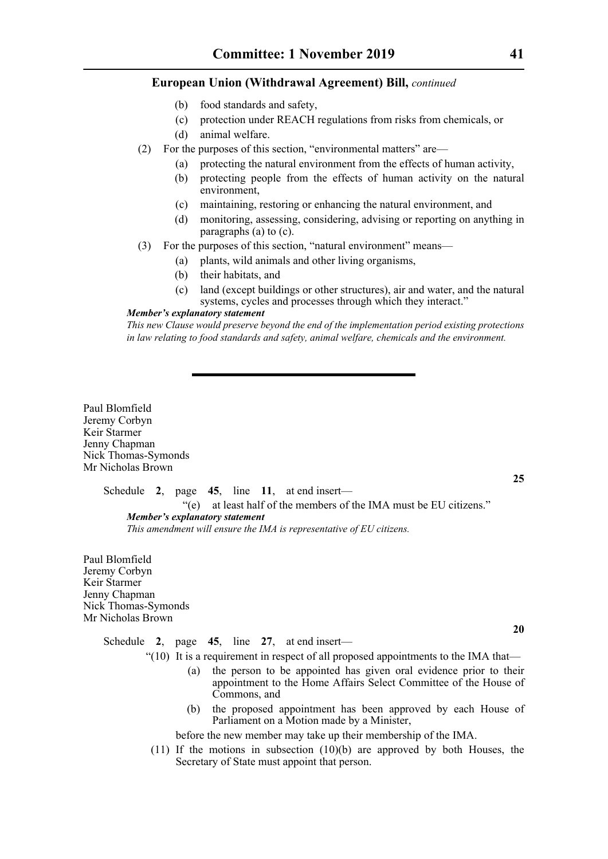- (b) food standards and safety,
- (c) protection under REACH regulations from risks from chemicals, or
- (d) animal welfare.
- (2) For the purposes of this section, "environmental matters" are—
	- (a) protecting the natural environment from the effects of human activity,
	- (b) protecting people from the effects of human activity on the natural environment,
	- (c) maintaining, restoring or enhancing the natural environment, and
	- (d) monitoring, assessing, considering, advising or reporting on anything in paragraphs (a) to (c).
- (3) For the purposes of this section, "natural environment" means—
	- (a) plants, wild animals and other living organisms,
	- (b) their habitats, and
	- (c) land (except buildings or other structures), air and water, and the natural systems, cycles and processes through which they interact."

#### *Member's explanatory statement*

*This new Clause would preserve beyond the end of the implementation period existing protections in law relating to food standards and safety, animal welfare, chemicals and the environment.*

Paul Blomfield Jeremy Corbyn Keir Starmer Jenny Chapman Nick Thomas-Symonds Mr Nicholas Brown

Schedule **2**, page **45**, line **11**, at end insert—

"(e) at least half of the members of the IMA must be EU citizens." *Member's explanatory statement This amendment will ensure the IMA is representative of EU citizens.* 

Paul Blomfield Jeremy Corbyn Keir Starmer Jenny Chapman Nick Thomas-Symonds Mr Nicholas Brown

> Schedule **2**, page **45**, line **27**, at end insert—  $\degree$ (10) It is a requirement in respect of all proposed appointments to the IMA that—

- (a) the person to be appointed has given oral evidence prior to their appointment to the Home Affairs Select Committee of the House of Commons, and
- (b) the proposed appointment has been approved by each House of Parliament on a Motion made by a Minister,

before the new member may take up their membership of the IMA.

(11) If the motions in subsection (10)(b) are approved by both Houses, the Secretary of State must appoint that person.

**20**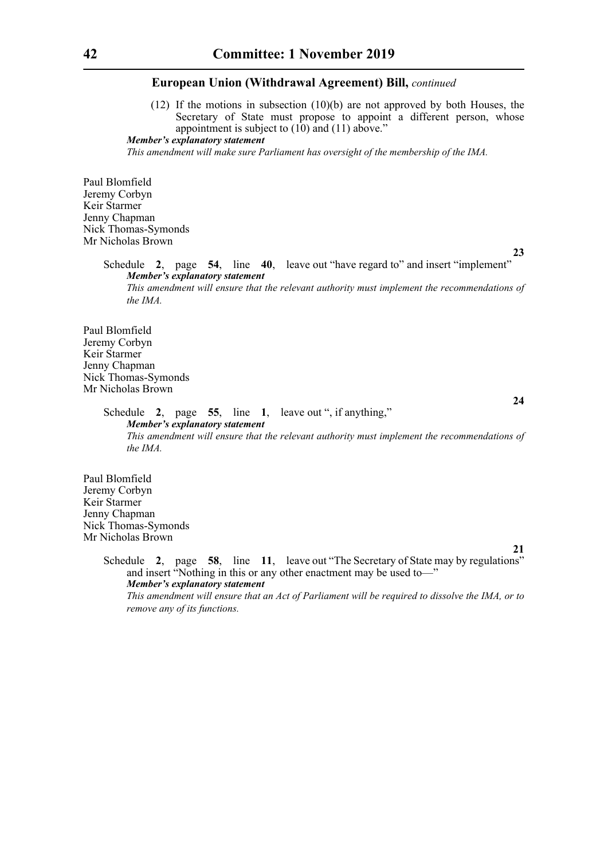(12) If the motions in subsection (10)(b) are not approved by both Houses, the Secretary of State must propose to appoint a different person, whose appointment is subject to  $(10)$  and  $(11)$  above."

*Member's explanatory statement* 

*This amendment will make sure Parliament has oversight of the membership of the IMA.* 

Paul Blomfield Jeremy Corbyn Keir Starmer Jenny Chapman Nick Thomas-Symonds Mr Nicholas Brown

**23**

Schedule **2**, page **54**, line **40**, leave out "have regard to" and insert "implement" *Member's explanatory statement This amendment will ensure that the relevant authority must implement the recommendations of the IMA.*

Paul Blomfield Jeremy Corbyn Keir Starmer Jenny Chapman Nick Thomas-Symonds Mr Nicholas Brown

**24**

**21**

Schedule **2**, page **55**, line **1**, leave out ", if anything," *Member's explanatory statement This amendment will ensure that the relevant authority must implement the recommendations of the IMA.*

Paul Blomfield Jeremy Corbyn Keir Starmer Jenny Chapman Nick Thomas-Symonds Mr Nicholas Brown

> Schedule **2**, page **58**, line **11**, leave out "The Secretary of State may by regulations" and insert "Nothing in this or any other enactment may be used to—" *Member's explanatory statement This amendment will ensure that an Act of Parliament will be required to dissolve the IMA, or to remove any of its functions.*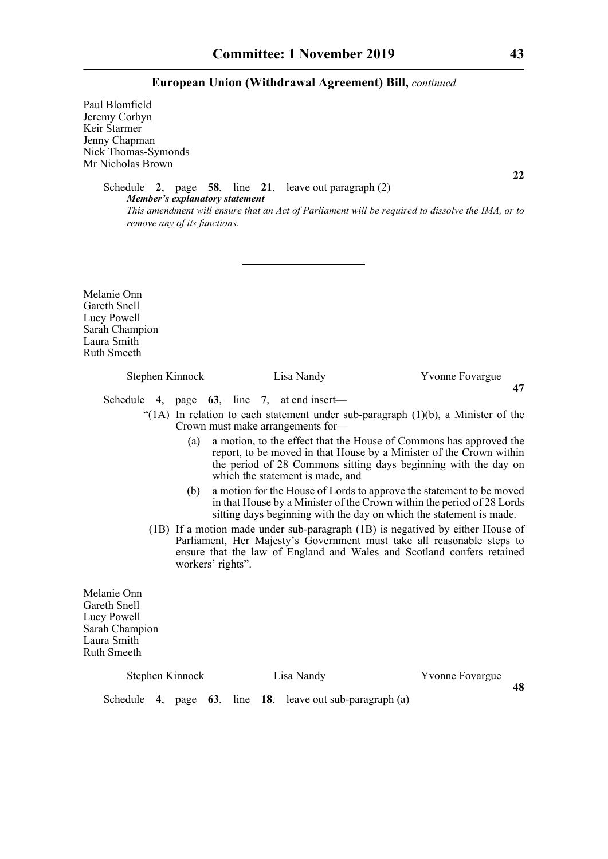Paul Blomfield Jeremy Corbyn Keir Starmer Jenny Chapman Nick Thomas-Symonds Mr Nicholas Brown

**22**

Schedule **2**, page **58**, line **21**, leave out paragraph (2) *Member's explanatory statement This amendment will ensure that an Act of Parliament will be required to dissolve the IMA, or to remove any of its functions.* 

Melanie Onn Gareth Snell Lucy Powell Sarah Champion Laura Smith Ruth Smeeth

### Stephen Kinnock Lisa Nandy Yvonne Fovargue **47** Schedule **4**, page **63**, line **7**, at end insert— "(1A) In relation to each statement under sub-paragraph (1)(b), a Minister of the Crown must make arrangements for— (a) a motion, to the effect that the House of Commons has approved the

- report, to be moved in that House by a Minister of the Crown within the period of 28 Commons sitting days beginning with the day on which the statement is made, and
- (b) a motion for the House of Lords to approve the statement to be moved in that House by a Minister of the Crown within the period of 28 Lords sitting days beginning with the day on which the statement is made.
- (1B) If a motion made under sub-paragraph (1B) is negatived by either House of Parliament, Her Majesty's Government must take all reasonable steps to ensure that the law of England and Wales and Scotland confers retained workers' rights".

Melanie Onn Gareth Snell Lucy Powell Sarah Champion Laura Smith Ruth Smeeth

Schedule **4**, page **63**, line **18**, leave out sub-paragraph (a)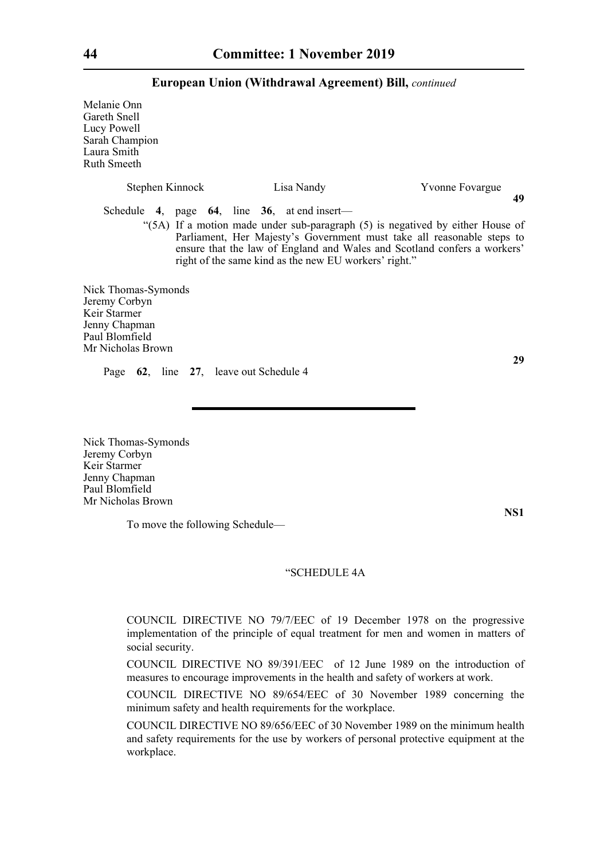Melanie Onn Gareth Snell Lucy Powell Sarah Champion Laura Smith Ruth Smeeth

| Stephen Kinnock                                                                                              |  | Lisa Nandy                                                                                               | Yvonne Fovargue<br>49                                                                                                                                                                                                                |
|--------------------------------------------------------------------------------------------------------------|--|----------------------------------------------------------------------------------------------------------|--------------------------------------------------------------------------------------------------------------------------------------------------------------------------------------------------------------------------------------|
|                                                                                                              |  | Schedule 4, page $64$ , line 36, at end insert—<br>right of the same kind as the new EU workers' right." | "(5A) If a motion made under sub-paragraph (5) is negatived by either House of<br>Parliament, Her Majesty's Government must take all reasonable steps to<br>ensure that the law of England and Wales and Scotland confers a workers' |
| Nick Thomas-Symonds<br>Jeremy Corbyn<br>Keir Starmer<br>Jenny Chapman<br>Paul Blomfield<br>Mr Nicholas Brown |  |                                                                                                          |                                                                                                                                                                                                                                      |

Page **62**, line **27**, leave out Schedule 4

Nick Thomas-Symonds Jeremy Corbyn Keir Starmer Jenny Chapman Paul Blomfield Mr Nicholas Brown

To move the following Schedule—

#### "SCHEDULE 4A

COUNCIL DIRECTIVE NO 79/7/EEC of 19 December 1978 on the progressive implementation of the principle of equal treatment for men and women in matters of social security.

COUNCIL DIRECTIVE NO 89/391/EEC of 12 June 1989 on the introduction of measures to encourage improvements in the health and safety of workers at work.

COUNCIL DIRECTIVE NO 89/654/EEC of 30 November 1989 concerning the minimum safety and health requirements for the workplace.

COUNCIL DIRECTIVE NO 89/656/EEC of 30 November 1989 on the minimum health and safety requirements for the use by workers of personal protective equipment at the workplace.

**29**

**NS1**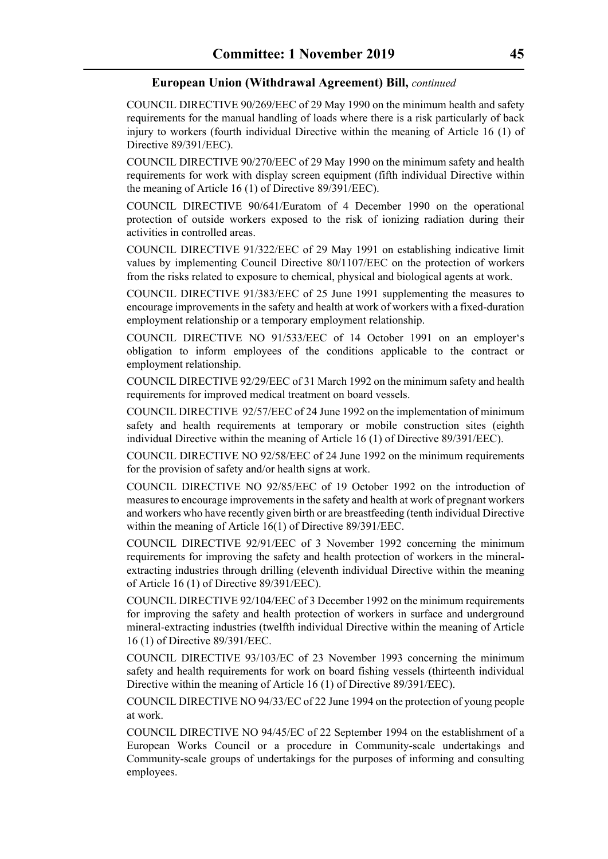COUNCIL DIRECTIVE 90/269/EEC of 29 May 1990 on the minimum health and safety requirements for the manual handling of loads where there is a risk particularly of back injury to workers (fourth individual Directive within the meaning of Article 16 (1) of Directive 89/391/EEC).

COUNCIL DIRECTIVE 90/270/EEC of 29 May 1990 on the minimum safety and health requirements for work with display screen equipment (fifth individual Directive within the meaning of Article 16 (1) of Directive 89/391/EEC).

COUNCIL DIRECTIVE 90/641/Euratom of 4 December 1990 on the operational protection of outside workers exposed to the risk of ionizing radiation during their activities in controlled areas.

COUNCIL DIRECTIVE 91/322/EEC of 29 May 1991 on establishing indicative limit values by implementing Council Directive 80/1107/EEC on the protection of workers from the risks related to exposure to chemical, physical and biological agents at work.

COUNCIL DIRECTIVE 91/383/EEC of 25 June 1991 supplementing the measures to encourage improvements in the safety and health at work of workers with a fixed-duration employment relationship or a temporary employment relationship.

COUNCIL DIRECTIVE NO 91/533/EEC of 14 October 1991 on an employer's obligation to inform employees of the conditions applicable to the contract or employment relationship.

COUNCIL DIRECTIVE 92/29/EEC of 31 March 1992 on the minimum safety and health requirements for improved medical treatment on board vessels.

COUNCIL DIRECTIVE 92/57/EEC of 24 June 1992 on the implementation of minimum safety and health requirements at temporary or mobile construction sites (eighth individual Directive within the meaning of Article 16 (1) of Directive 89/391/EEC).

COUNCIL DIRECTIVE NO 92/58/EEC of 24 June 1992 on the minimum requirements for the provision of safety and/or health signs at work.

COUNCIL DIRECTIVE NO 92/85/EEC of 19 October 1992 on the introduction of measures to encourage improvements in the safety and health at work of pregnant workers and workers who have recently given birth or are breastfeeding (tenth individual Directive within the meaning of Article 16(1) of Directive 89/391/EEC.

COUNCIL DIRECTIVE 92/91/EEC of 3 November 1992 concerning the minimum requirements for improving the safety and health protection of workers in the mineralextracting industries through drilling (eleventh individual Directive within the meaning of Article 16 (1) of Directive 89/391/EEC).

COUNCIL DIRECTIVE 92/104/EEC of 3 December 1992 on the minimum requirements for improving the safety and health protection of workers in surface and underground mineral-extracting industries (twelfth individual Directive within the meaning of Article 16 (1) of Directive 89/391/EEC.

COUNCIL DIRECTIVE 93/103/EC of 23 November 1993 concerning the minimum safety and health requirements for work on board fishing vessels (thirteenth individual Directive within the meaning of Article 16 (1) of Directive 89/391/EEC).

COUNCIL DIRECTIVE NO 94/33/EC of 22 June 1994 on the protection of young people at work.

COUNCIL DIRECTIVE NO 94/45/EC of 22 September 1994 on the establishment of a European Works Council or a procedure in Community-scale undertakings and Community-scale groups of undertakings for the purposes of informing and consulting employees.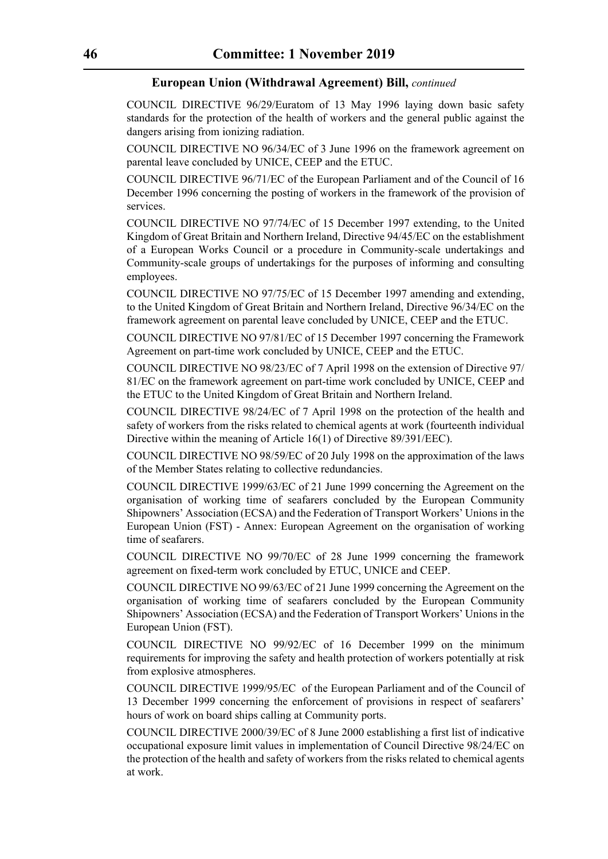COUNCIL DIRECTIVE 96/29/Euratom of 13 May 1996 laying down basic safety standards for the protection of the health of workers and the general public against the dangers arising from ionizing radiation.

COUNCIL DIRECTIVE NO 96/34/EC of 3 June 1996 on the framework agreement on parental leave concluded by UNICE, CEEP and the ETUC.

COUNCIL DIRECTIVE 96/71/EC of the European Parliament and of the Council of 16 December 1996 concerning the posting of workers in the framework of the provision of services.

COUNCIL DIRECTIVE NO 97/74/EC of 15 December 1997 extending, to the United Kingdom of Great Britain and Northern Ireland, Directive 94/45/EC on the establishment of a European Works Council or a procedure in Community-scale undertakings and Community-scale groups of undertakings for the purposes of informing and consulting employees.

COUNCIL DIRECTIVE NO 97/75/EC of 15 December 1997 amending and extending, to the United Kingdom of Great Britain and Northern Ireland, Directive 96/34/EC on the framework agreement on parental leave concluded by UNICE, CEEP and the ETUC.

COUNCIL DIRECTIVE NO 97/81/EC of 15 December 1997 concerning the Framework Agreement on part-time work concluded by UNICE, CEEP and the ETUC.

COUNCIL DIRECTIVE NO 98/23/EC of 7 April 1998 on the extension of Directive 97/ 81/EC on the framework agreement on part-time work concluded by UNICE, CEEP and the ETUC to the United Kingdom of Great Britain and Northern Ireland.

COUNCIL DIRECTIVE 98/24/EC of 7 April 1998 on the protection of the health and safety of workers from the risks related to chemical agents at work (fourteenth individual Directive within the meaning of Article 16(1) of Directive 89/391/EEC).

COUNCIL DIRECTIVE NO 98/59/EC of 20 July 1998 on the approximation of the laws of the Member States relating to collective redundancies.

COUNCIL DIRECTIVE 1999/63/EC of 21 June 1999 concerning the Agreement on the organisation of working time of seafarers concluded by the European Community Shipowners' Association (ECSA) and the Federation of Transport Workers' Unions in the European Union (FST) - Annex: European Agreement on the organisation of working time of seafarers.

COUNCIL DIRECTIVE NO 99/70/EC of 28 June 1999 concerning the framework agreement on fixed-term work concluded by ETUC, UNICE and CEEP.

COUNCIL DIRECTIVE NO 99/63/EC of 21 June 1999 concerning the Agreement on the organisation of working time of seafarers concluded by the European Community Shipowners' Association (ECSA) and the Federation of Transport Workers' Unions in the European Union (FST).

COUNCIL DIRECTIVE NO 99/92/EC of 16 December 1999 on the minimum requirements for improving the safety and health protection of workers potentially at risk from explosive atmospheres.

COUNCIL DIRECTIVE 1999/95/EC of the European Parliament and of the Council of 13 December 1999 concerning the enforcement of provisions in respect of seafarers' hours of work on board ships calling at Community ports.

COUNCIL DIRECTIVE 2000/39/EC of 8 June 2000 establishing a first list of indicative occupational exposure limit values in implementation of Council Directive 98/24/EC on the protection of the health and safety of workers from the risks related to chemical agents at work.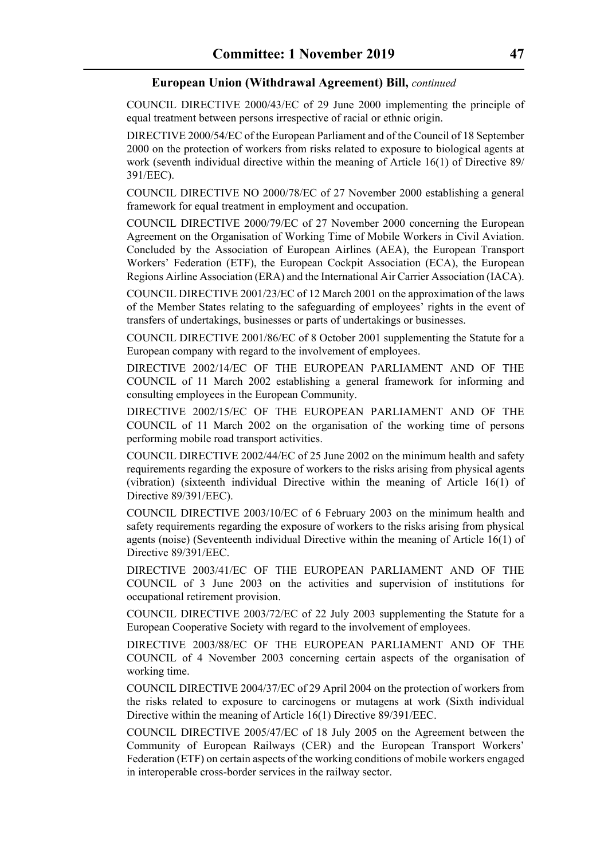COUNCIL DIRECTIVE 2000/43/EC of 29 June 2000 implementing the principle of equal treatment between persons irrespective of racial or ethnic origin.

DIRECTIVE 2000/54/EC of the European Parliament and of the Council of 18 September 2000 on the protection of workers from risks related to exposure to biological agents at work (seventh individual directive within the meaning of Article 16(1) of Directive 89/ 391/EEC).

COUNCIL DIRECTIVE NO 2000/78/EC of 27 November 2000 establishing a general framework for equal treatment in employment and occupation.

COUNCIL DIRECTIVE 2000/79/EC of 27 November 2000 concerning the European Agreement on the Organisation of Working Time of Mobile Workers in Civil Aviation. Concluded by the Association of European Airlines (AEA), the European Transport Workers' Federation (ETF), the European Cockpit Association (ECA), the European Regions Airline Association (ERA) and the International Air Carrier Association (IACA).

COUNCIL DIRECTIVE 2001/23/EC of 12 March 2001 on the approximation of the laws of the Member States relating to the safeguarding of employees' rights in the event of transfers of undertakings, businesses or parts of undertakings or businesses.

COUNCIL DIRECTIVE 2001/86/EC of 8 October 2001 supplementing the Statute for a European company with regard to the involvement of employees.

DIRECTIVE 2002/14/EC OF THE EUROPEAN PARLIAMENT AND OF THE COUNCIL of 11 March 2002 establishing a general framework for informing and consulting employees in the European Community.

DIRECTIVE 2002/15/EC OF THE EUROPEAN PARLIAMENT AND OF THE COUNCIL of 11 March 2002 on the organisation of the working time of persons performing mobile road transport activities.

COUNCIL DIRECTIVE 2002/44/EC of 25 June 2002 on the minimum health and safety requirements regarding the exposure of workers to the risks arising from physical agents (vibration) (sixteenth individual Directive within the meaning of Article 16(1) of Directive 89/391/EEC).

COUNCIL DIRECTIVE 2003/10/EC of 6 February 2003 on the minimum health and safety requirements regarding the exposure of workers to the risks arising from physical agents (noise) (Seventeenth individual Directive within the meaning of Article 16(1) of Directive 89/391/EEC.

DIRECTIVE 2003/41/EC OF THE EUROPEAN PARLIAMENT AND OF THE COUNCIL of 3 June 2003 on the activities and supervision of institutions for occupational retirement provision.

COUNCIL DIRECTIVE 2003/72/EC of 22 July 2003 supplementing the Statute for a European Cooperative Society with regard to the involvement of employees.

DIRECTIVE 2003/88/EC OF THE EUROPEAN PARLIAMENT AND OF THE COUNCIL of 4 November 2003 concerning certain aspects of the organisation of working time.

COUNCIL DIRECTIVE 2004/37/EC of 29 April 2004 on the protection of workers from the risks related to exposure to carcinogens or mutagens at work (Sixth individual Directive within the meaning of Article 16(1) Directive 89/391/EEC.

COUNCIL DIRECTIVE 2005/47/EC of 18 July 2005 on the Agreement between the Community of European Railways (CER) and the European Transport Workers' Federation (ETF) on certain aspects of the working conditions of mobile workers engaged in interoperable cross-border services in the railway sector.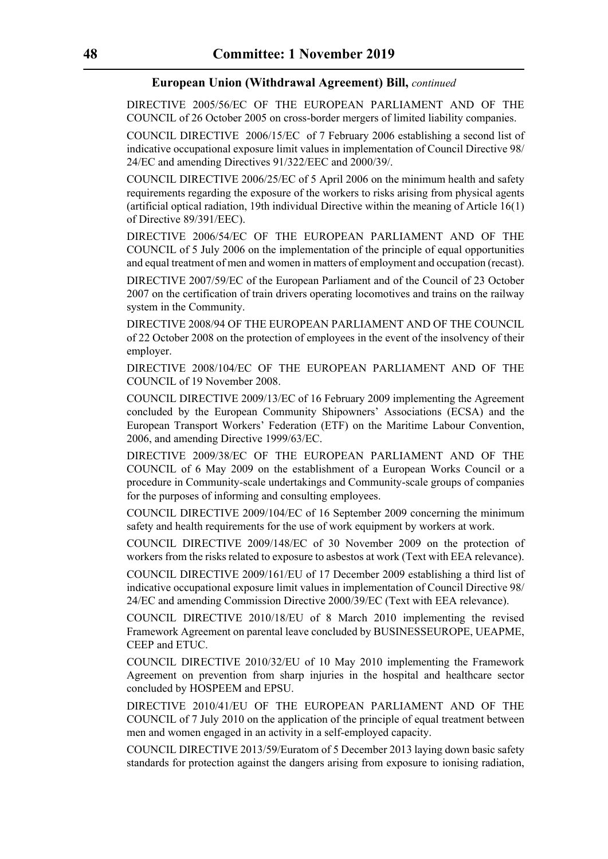DIRECTIVE 2005/56/EC OF THE EUROPEAN PARLIAMENT AND OF THE COUNCIL of 26 October 2005 on cross-border mergers of limited liability companies.

COUNCIL DIRECTIVE 2006/15/EC of 7 February 2006 establishing a second list of indicative occupational exposure limit values in implementation of Council Directive 98/ 24/EC and amending Directives 91/322/EEC and 2000/39/.

COUNCIL DIRECTIVE 2006/25/EC of 5 April 2006 on the minimum health and safety requirements regarding the exposure of the workers to risks arising from physical agents (artificial optical radiation, 19th individual Directive within the meaning of Article 16(1) of Directive 89/391/EEC).

DIRECTIVE 2006/54/EC OF THE EUROPEAN PARLIAMENT AND OF THE COUNCIL of 5 July 2006 on the implementation of the principle of equal opportunities and equal treatment of men and women in matters of employment and occupation (recast).

DIRECTIVE 2007/59/EC of the European Parliament and of the Council of 23 October 2007 on the certification of train drivers operating locomotives and trains on the railway system in the Community.

DIRECTIVE 2008/94 OF THE EUROPEAN PARLIAMENT AND OF THE COUNCIL of 22 October 2008 on the protection of employees in the event of the insolvency of their employer.

DIRECTIVE 2008/104/EC OF THE EUROPEAN PARLIAMENT AND OF THE COUNCIL of 19 November 2008.

COUNCIL DIRECTIVE 2009/13/EC of 16 February 2009 implementing the Agreement concluded by the European Community Shipowners' Associations (ECSA) and the European Transport Workers' Federation (ETF) on the Maritime Labour Convention, 2006, and amending Directive 1999/63/EC.

DIRECTIVE 2009/38/EC OF THE EUROPEAN PARLIAMENT AND OF THE COUNCIL of 6 May 2009 on the establishment of a European Works Council or a procedure in Community-scale undertakings and Community-scale groups of companies for the purposes of informing and consulting employees.

COUNCIL DIRECTIVE 2009/104/EC of 16 September 2009 concerning the minimum safety and health requirements for the use of work equipment by workers at work.

COUNCIL DIRECTIVE 2009/148/EC of 30 November 2009 on the protection of workers from the risks related to exposure to asbestos at work (Text with EEA relevance).

COUNCIL DIRECTIVE 2009/161/EU of 17 December 2009 establishing a third list of indicative occupational exposure limit values in implementation of Council Directive 98/ 24/EC and amending Commission Directive 2000/39/EC (Text with EEA relevance).

COUNCIL DIRECTIVE 2010/18/EU of 8 March 2010 implementing the revised Framework Agreement on parental leave concluded by BUSINESSEUROPE, UEAPME, CEEP and ETUC.

COUNCIL DIRECTIVE 2010/32/EU of 10 May 2010 implementing the Framework Agreement on prevention from sharp injuries in the hospital and healthcare sector concluded by HOSPEEM and EPSU.

DIRECTIVE 2010/41/EU OF THE EUROPEAN PARLIAMENT AND OF THE COUNCIL of 7 July 2010 on the application of the principle of equal treatment between men and women engaged in an activity in a self-employed capacity.

COUNCIL DIRECTIVE 2013/59/Euratom of 5 December 2013 laying down basic safety standards for protection against the dangers arising from exposure to ionising radiation,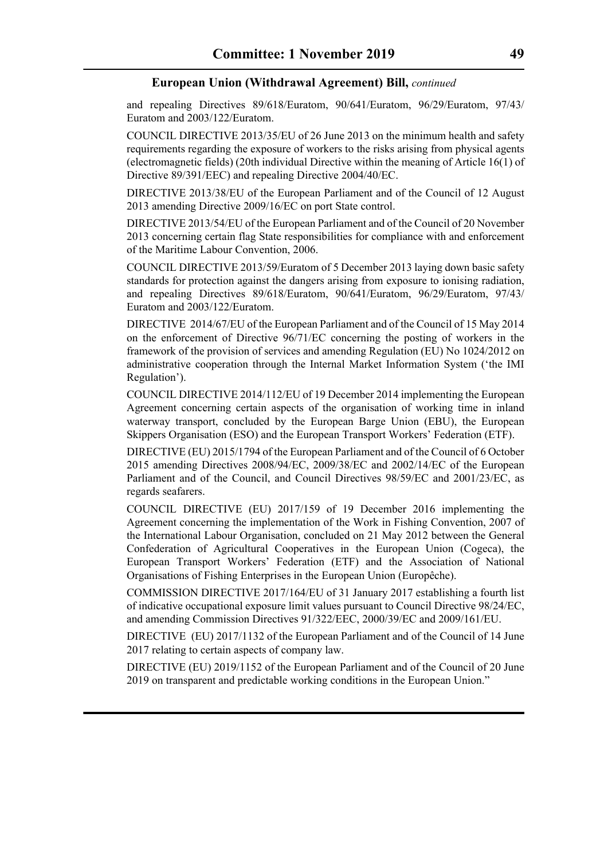and repealing Directives 89/618/Euratom, 90/641/Euratom, 96/29/Euratom, 97/43/ Euratom and 2003/122/Euratom.

COUNCIL DIRECTIVE 2013/35/EU of 26 June 2013 on the minimum health and safety requirements regarding the exposure of workers to the risks arising from physical agents (electromagnetic fields) (20th individual Directive within the meaning of Article 16(1) of Directive 89/391/EEC) and repealing Directive 2004/40/EC.

DIRECTIVE 2013/38/EU of the European Parliament and of the Council of 12 August 2013 amending Directive 2009/16/EC on port State control.

DIRECTIVE 2013/54/EU of the European Parliament and of the Council of 20 November 2013 concerning certain flag State responsibilities for compliance with and enforcement of the Maritime Labour Convention, 2006.

COUNCIL DIRECTIVE 2013/59/Euratom of 5 December 2013 laying down basic safety standards for protection against the dangers arising from exposure to ionising radiation, and repealing Directives 89/618/Euratom, 90/641/Euratom, 96/29/Euratom, 97/43/ Euratom and 2003/122/Euratom.

DIRECTIVE 2014/67/EU of the European Parliament and of the Council of 15 May 2014 on the enforcement of Directive 96/71/EC concerning the posting of workers in the framework of the provision of services and amending Regulation (EU) No 1024/2012 on administrative cooperation through the Internal Market Information System ('the IMI Regulation').

COUNCIL DIRECTIVE 2014/112/EU of 19 December 2014 implementing the European Agreement concerning certain aspects of the organisation of working time in inland waterway transport, concluded by the European Barge Union (EBU), the European Skippers Organisation (ESO) and the European Transport Workers' Federation (ETF).

DIRECTIVE (EU) 2015/1794 of the European Parliament and of the Council of 6 October 2015 amending Directives 2008/94/EC, 2009/38/EC and 2002/14/EC of the European Parliament and of the Council, and Council Directives 98/59/EC and 2001/23/EC, as regards seafarers.

COUNCIL DIRECTIVE (EU) 2017/159 of 19 December 2016 implementing the Agreement concerning the implementation of the Work in Fishing Convention, 2007 of the International Labour Organisation, concluded on 21 May 2012 between the General Confederation of Agricultural Cooperatives in the European Union (Cogeca), the European Transport Workers' Federation (ETF) and the Association of National Organisations of Fishing Enterprises in the European Union (Europêche).

COMMISSION DIRECTIVE 2017/164/EU of 31 January 2017 establishing a fourth list of indicative occupational exposure limit values pursuant to Council Directive 98/24/EC, and amending Commission Directives 91/322/EEC, 2000/39/EC and 2009/161/EU.

DIRECTIVE (EU) 2017/1132 of the European Parliament and of the Council of 14 June 2017 relating to certain aspects of company law.

DIRECTIVE (EU) 2019/1152 of the European Parliament and of the Council of 20 June 2019 on transparent and predictable working conditions in the European Union."